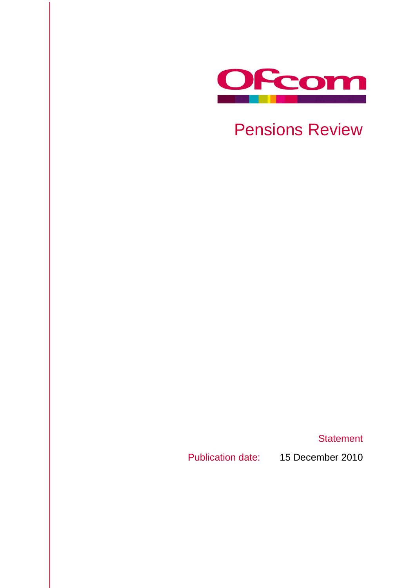

Pensions Review

**Statement** 

Publication date: 15 December 2010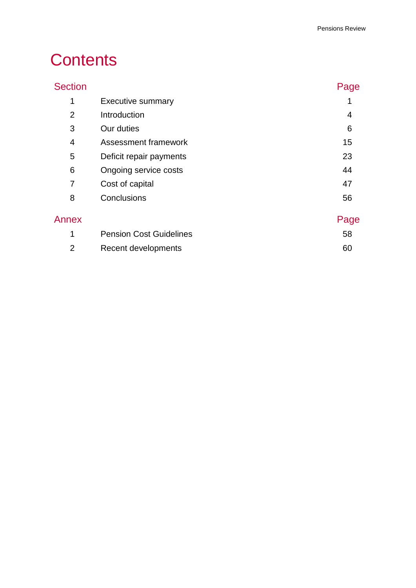# **Contents**

# Section **Page**

| 1              | <b>Executive summary</b>       |      |
|----------------|--------------------------------|------|
| $\overline{2}$ | Introduction                   | 4    |
| 3              | Our duties                     | 6    |
| 4              | Assessment framework           | 15   |
| 5              | Deficit repair payments        | 23   |
| 6              | Ongoing service costs          | 44   |
| 7              | Cost of capital                | 47   |
| 8              | Conclusions                    | 56   |
| Annex          |                                | Page |
| 1              | <b>Pension Cost Guidelines</b> | 58   |
|                |                                |      |

| Recent developments |  |
|---------------------|--|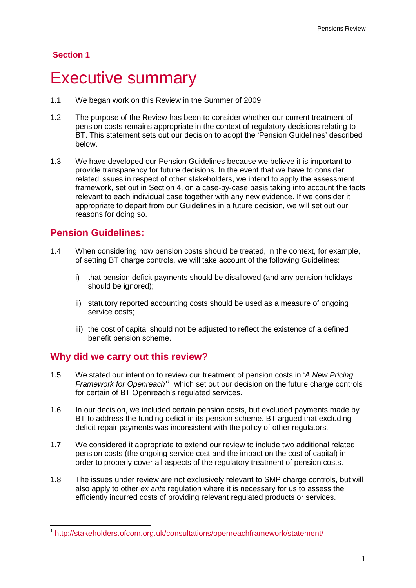## **Section 1**

# <span id="page-3-0"></span>**Executive summary**

- 1.1 We began work on this Review in the Summer of 2009.
- 1.2 The purpose of the Review has been to consider whether our current treatment of pension costs remains appropriate in the context of regulatory decisions relating to BT. This statement sets out our decision to adopt the 'Pension Guidelines' described below.
- 1.3 We have developed our Pension Guidelines because we believe it is important to provide transparency for future decisions. In the event that we have to consider related issues in respect of other stakeholders, we intend to apply the assessment framework, set out in Section [4,](#page-17-0) on a case-by-case basis taking into account the facts relevant to each individual case together with any new evidence. If we consider it appropriate to depart from our Guidelines in a future decision, we will set out our reasons for doing so.

## **Pension Guidelines:**

- 1.4 When considering how pension costs should be treated, in the context, for example, of setting BT charge controls, we will take account of the following Guidelines:
	- i) that pension deficit payments should be disallowed (and any pension holidays should be ignored);
	- ii) statutory reported accounting costs should be used as a measure of ongoing service costs;
	- iii) the cost of capital should not be adjusted to reflect the existence of a defined benefit pension scheme.

## **Why did we carry out this review?**

- 1.5 We stated our intention to review our treatment of pension costs in '*A New Pricing Framework for Openreach'[1](#page-3-1)* which set out our decision on the future charge controls for certain of BT Openreach's regulated services.
- 1.6 In our decision, we included certain pension costs, but excluded payments made by BT to address the funding deficit in its pension scheme. BT argued that excluding deficit repair payments was inconsistent with the policy of other regulators.
- 1.7 We considered it appropriate to extend our review to include two additional related pension costs (the ongoing service cost and the impact on the cost of capital) in order to properly cover all aspects of the regulatory treatment of pension costs.
- 1.8 The issues under review are not exclusively relevant to SMP charge controls, but will also apply to other *ex ante* regulation where it is necessary for us to assess the efficiently incurred costs of providing relevant regulated products or services.

<span id="page-3-1"></span> <sup>1</sup> <http://stakeholders.ofcom.org.uk/consultations/openreachframework/statement/>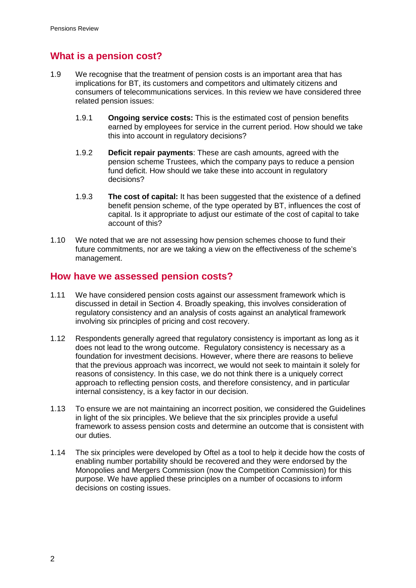# **What is a pension cost?**

- 1.9 We recognise that the treatment of pension costs is an important area that has implications for BT, its customers and competitors and ultimately citizens and consumers of telecommunications services. In this review we have considered three related pension issues:
	- 1.9.1 **Ongoing service costs:** This is the estimated cost of pension benefits earned by employees for service in the current period. How should we take this into account in regulatory decisions?
	- 1.9.2 **Deficit repair payments**: These are cash amounts, agreed with the pension scheme Trustees, which the company pays to reduce a pension fund deficit. How should we take these into account in regulatory decisions?
	- 1.9.3 **The cost of capital:** It has been suggested that the existence of a defined benefit pension scheme, of the type operated by BT, influences the cost of capital. Is it appropriate to adjust our estimate of the cost of capital to take account of this?
- 1.10 We noted that we are not assessing how pension schemes choose to fund their future commitments, nor are we taking a view on the effectiveness of the scheme's management.

## **How have we assessed pension costs?**

- 1.11 We have considered pension costs against our assessment framework which is discussed in detail in Section [4.](#page-17-0) Broadly speaking, this involves consideration of regulatory consistency and an analysis of costs against an analytical framework involving six principles of pricing and cost recovery.
- 1.12 Respondents generally agreed that regulatory consistency is important as long as it does not lead to the wrong outcome. Regulatory consistency is necessary as a foundation for investment decisions. However, where there are reasons to believe that the previous approach was incorrect, we would not seek to maintain it solely for reasons of consistency. In this case, we do not think there is a uniquely correct approach to reflecting pension costs, and therefore consistency, and in particular internal consistency, is a key factor in our decision.
- 1.13 To ensure we are not maintaining an incorrect position, we considered the Guidelines in light of the six principles. We believe that the six principles provide a useful framework to assess pension costs and determine an outcome that is consistent with our duties.
- 1.14 The six principles were developed by Oftel as a tool to help it decide how the costs of enabling number portability should be recovered and they were endorsed by the Monopolies and Mergers Commission (now the Competition Commission) for this purpose. We have applied these principles on a number of occasions to inform decisions on costing issues.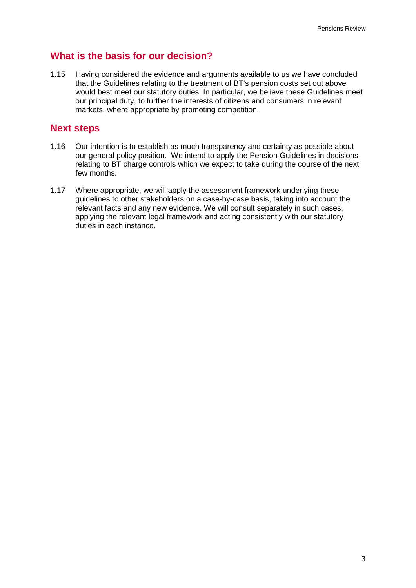# **What is the basis for our decision?**

1.15 Having considered the evidence and arguments available to us we have concluded that the Guidelines relating to the treatment of BT's pension costs set out above would best meet our statutory duties. In particular, we believe these Guidelines meet our principal duty, to further the interests of citizens and consumers in relevant markets, where appropriate by promoting competition.

## **Next steps**

- 1.16 Our intention is to establish as much transparency and certainty as possible about our general policy position. We intend to apply the Pension Guidelines in decisions relating to BT charge controls which we expect to take during the course of the next few months.
- 1.17 Where appropriate, we will apply the assessment framework underlying these guidelines to other stakeholders on a case-by-case basis, taking into account the relevant facts and any new evidence. We will consult separately in such cases, applying the relevant legal framework and acting consistently with our statutory duties in each instance.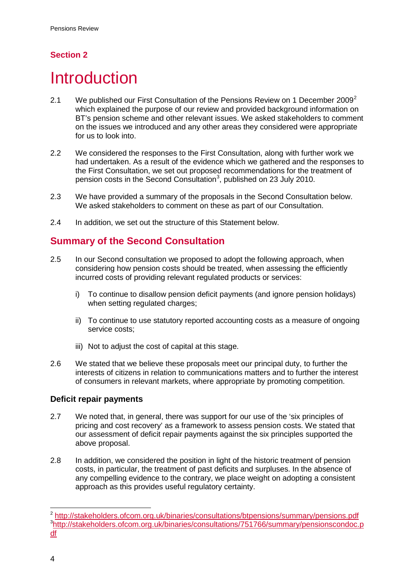# **Section 2**

# <span id="page-6-0"></span>**Introduction**

- [2](#page-6-1).1 We published our First Consultation of the Pensions Review on 1 December 2009<sup>2</sup> which explained the purpose of our review and provided background information on BT's pension scheme and other relevant issues. We asked stakeholders to comment on the issues we introduced and any other areas they considered were appropriate for us to look into.
- 2.2 We considered the responses to the First Consultation, along with further work we had undertaken. As a result of the evidence which we gathered and the responses to the First Consultation, we set out proposed recommendations for the treatment of pension costs in the Second Consultation<sup>[3](#page-6-2)</sup>, published on 23 July 2010.
- 2.3 We have provided a summary of the proposals in the Second Consultation below. We asked stakeholders to comment on these as part of our Consultation.
- 2.4 In addition, we set out the structure of this Statement below.

# **Summary of the Second Consultation**

- 2.5 In our Second consultation we proposed to adopt the following approach, when considering how pension costs should be treated, when assessing the efficiently incurred costs of providing relevant regulated products or services:
	- i) To continue to disallow pension deficit payments (and ignore pension holidays) when setting regulated charges:
	- ii) To continue to use statutory reported accounting costs as a measure of ongoing service costs;
	- iii) Not to adjust the cost of capital at this stage.
- 2.6 We stated that we believe these proposals meet our principal duty, to further the interests of citizens in relation to communications matters and to further the interest of consumers in relevant markets, where appropriate by promoting competition.

## **Deficit repair payments**

- 2.7 We noted that, in general, there was support for our use of the 'six principles of pricing and cost recovery' as a framework to assess pension costs. We stated that our assessment of deficit repair payments against the six principles supported the above proposal.
- 2.8 In addition, we considered the position in light of the historic treatment of pension costs, in particular, the treatment of past deficits and surpluses. In the absence of any compelling evidence to the contrary, we place weight on adopting a consistent approach as this provides useful regulatory certainty.

<span id="page-6-2"></span><span id="page-6-1"></span> <sup>2</sup> <http://stakeholders.ofcom.org.uk/binaries/consultations/btpensions/summary/pensions.pdf> <sup>3</sup>[http://stakeholders.ofcom.org.uk/binaries/consultations/751766/summary/pensionscondoc.p](http://stakeholders.ofcom.org.uk/binaries/consultations/751766/summary/pensionscondoc.pdf) [df](http://stakeholders.ofcom.org.uk/binaries/consultations/751766/summary/pensionscondoc.pdf)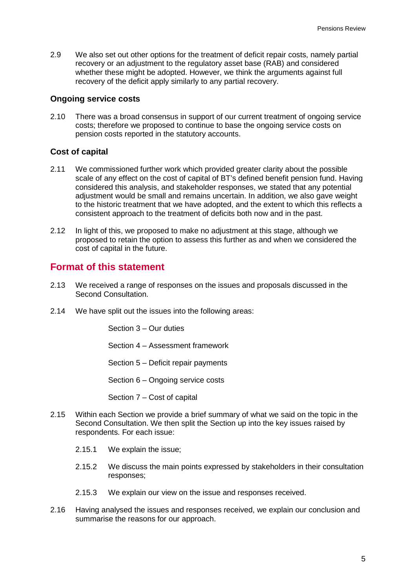2.9 We also set out other options for the treatment of deficit repair costs, namely partial recovery or an adjustment to the regulatory asset base (RAB) and considered whether these might be adopted. However, we think the arguments against full recovery of the deficit apply similarly to any partial recovery.

## **Ongoing service costs**

2.10 There was a broad consensus in support of our current treatment of ongoing service costs; therefore we proposed to continue to base the ongoing service costs on pension costs reported in the statutory accounts.

#### **Cost of capital**

- 2.11 We commissioned further work which provided greater clarity about the possible scale of any effect on the cost of capital of BT's defined benefit pension fund. Having considered this analysis, and stakeholder responses, we stated that any potential adjustment would be small and remains uncertain. In addition, we also gave weight to the historic treatment that we have adopted, and the extent to which this reflects a consistent approach to the treatment of deficits both now and in the past.
- 2.12 In light of this, we proposed to make no adjustment at this stage, although we proposed to retain the option to assess this further as and when we considered the cost of capital in the future.

## **Format of this statement**

- 2.13 We received a range of responses on the issues and proposals discussed in the Second Consultation.
- 2.14 We have split out the issues into the following areas:

Section 3 – Our duties

Section 4 – Assessment framework

Section 5 – Deficit repair payments

Section 6 – Ongoing service costs

Section 7 – Cost of capital

- 2.15 Within each Section we provide a brief summary of what we said on the topic in the Second Consultation. We then split the Section up into the key issues raised by respondents. For each issue:
	- 2.15.1 We explain the issue;
	- 2.15.2 We discuss the main points expressed by stakeholders in their consultation responses;
	- 2.15.3 We explain our view on the issue and responses received.
- 2.16 Having analysed the issues and responses received, we explain our conclusion and summarise the reasons for our approach.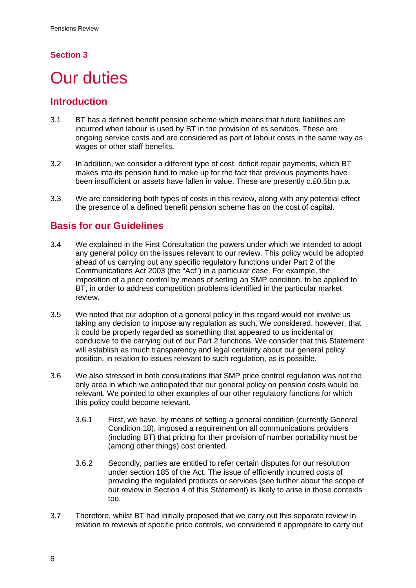## **Section 3**

# <span id="page-8-0"></span>**Our duties**

## **Introduction**

- 3.1 BT has a defined benefit pension scheme which means that future liabilities are incurred when labour is used by BT in the provision of its services. These are ongoing service costs and are considered as part of labour costs in the same way as wages or other staff benefits.
- 3.2 In addition, we consider a different type of cost, deficit repair payments, which BT makes into its pension fund to make up for the fact that previous payments have been insufficient or assets have fallen in value. These are presently c.£0.5bn p.a.
- 3.3 We are considering both types of costs in this review, along with any potential effect the presence of a defined benefit pension scheme has on the cost of capital.

# **Basis for our Guidelines**

- 3.4 We explained in the First Consultation the powers under which we intended to adopt any general policy on the issues relevant to our review. This policy would be adopted ahead of us carrying out any specific regulatory functions under Part 2 of the Communications Act 2003 (the "Act") in a particular case. For example, the imposition of a price control by means of setting an SMP condition, to be applied to BT, in order to address competition problems identified in the particular market review.
- 3.5 We noted that our adoption of a general policy in this regard would not involve us taking any decision to impose any regulation as such. We considered, however, that it could be properly regarded as something that appeared to us incidental or conducive to the carrying out of our Part 2 functions. We consider that this Statement will establish as much transparency and legal certainty about our general policy position, in relation to issues relevant to such regulation, as is possible.
- 3.6 We also stressed in both consultations that SMP price control regulation was not the only area in which we anticipated that our general policy on pension costs would be relevant. We pointed to other examples of our other regulatory functions for which this policy could become relevant.
	- 3.6.1 First, we have, by means of setting a general condition (currently General Condition 18), imposed a requirement on all communications providers (including BT) that pricing for their provision of number portability must be (among other things) cost oriented.
	- 3.6.2 Secondly, parties are entitled to refer certain disputes for our resolution under section 185 of the Act. The issue of efficiently incurred costs of providing the regulated products or services (see further about the scope of our review in Section [4](#page-17-0) of this Statement) is likely to arise in those contexts too.
- 3.7 Therefore, whilst BT had initially proposed that we carry out this separate review in relation to reviews of specific price controls, we considered it appropriate to carry out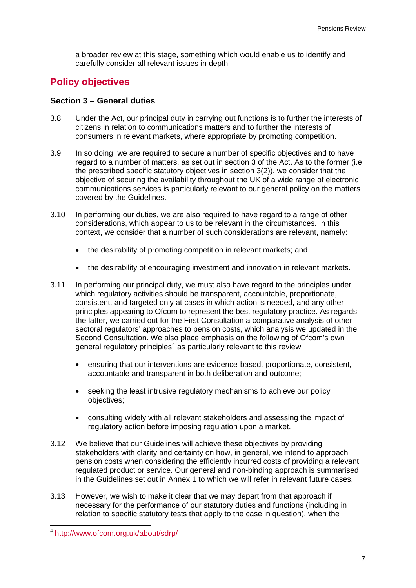a broader review at this stage, something which would enable us to identify and carefully consider all relevant issues in depth.

# **Policy objectives**

### **Section 3 – General duties**

- 3.8 Under the Act, our principal duty in carrying out functions is to further the interests of citizens in relation to communications matters and to further the interests of consumers in relevant markets, where appropriate by promoting competition.
- 3.9 In so doing, we are required to secure a number of specific objectives and to have regard to a number of matters, as set out in section 3 of the Act. As to the former (i.e. the prescribed specific statutory objectives in section 3(2)), we consider that the objective of securing the availability throughout the UK of a wide range of electronic communications services is particularly relevant to our general policy on the matters covered by the Guidelines.
- 3.10 In performing our duties, we are also required to have regard to a range of other considerations, which appear to us to be relevant in the circumstances. In this context, we consider that a number of such considerations are relevant, namely:
	- the desirability of promoting competition in relevant markets; and
	- the desirability of encouraging investment and innovation in relevant markets.
- 3.11 In performing our principal duty, we must also have regard to the principles under which regulatory activities should be transparent, accountable, proportionate, consistent, and targeted only at cases in which action is needed, and any other principles appearing to Ofcom to represent the best regulatory practice. As regards the latter, we carried out for the First Consultation a comparative analysis of other sectoral regulators' approaches to pension costs, which analysis we updated in the Second Consultation. We also place emphasis on the following of Ofcom's own general regulatory principles<sup>[4](#page-9-0)</sup> as particularly relevant to this review:
	- ensuring that our interventions are evidence-based, proportionate, consistent, accountable and transparent in both deliberation and outcome;
	- seeking the least intrusive regulatory mechanisms to achieve our policy objectives;
	- consulting widely with all relevant stakeholders and assessing the impact of regulatory action before imposing regulation upon a market.
- 3.12 We believe that our Guidelines will achieve these objectives by providing stakeholders with clarity and certainty on how, in general, we intend to approach pension costs when considering the efficiently incurred costs of providing a relevant regulated product or service. Our general and non-binding approach is summarised in the Guidelines set out in [Annex 1](#page-60-1) to which we will refer in relevant future cases.
- 3.13 However, we wish to make it clear that we may depart from that approach if necessary for the performance of our statutory duties and functions (including in relation to specific statutory tests that apply to the case in question), when the

<span id="page-9-0"></span> <sup>4</sup> <http://www.ofcom.org.uk/about/sdrp/>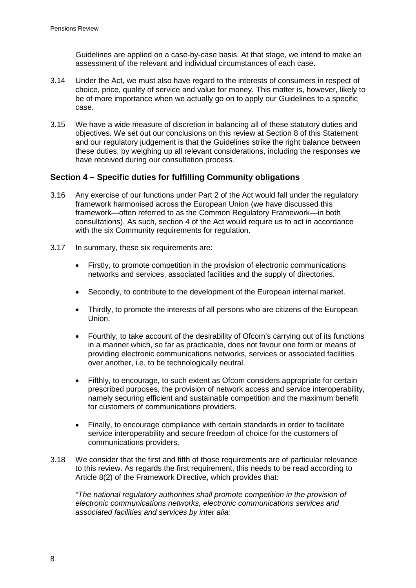Guidelines are applied on a case-by-case basis. At that stage, we intend to make an assessment of the relevant and individual circumstances of each case.

- 3.14 Under the Act, we must also have regard to the interests of consumers in respect of choice, price, quality of service and value for money. This matter is, however, likely to be of more importance when we actually go on to apply our Guidelines to a specific case.
- 3.15 We have a wide measure of discretion in balancing all of these statutory duties and objectives. We set out our conclusions on this review at Section [8](#page-58-0) of this Statement and our regulatory judgement is that the Guidelines strike the right balance between these duties, by weighing up all relevant considerations, including the responses we have received during our consultation process.

## **Section 4 – Specific duties for fulfilling Community obligations**

- 3.16 Any exercise of our functions under Part 2 of the Act would fall under the regulatory framework harmonised across the European Union (we have discussed this framework—often referred to as the Common Regulatory Framework—in both consultations). As such, section 4 of the Act would require us to act in accordance with the six Community requirements for regulation.
- 3.17 In summary, these six requirements are:
	- Firstly, to promote competition in the provision of electronic communications networks and services, associated facilities and the supply of directories.
	- Secondly, to contribute to the development of the European internal market.
	- Thirdly, to promote the interests of all persons who are citizens of the European Union.
	- Fourthly, to take account of the desirability of Ofcom's carrying out of its functions in a manner which, so far as practicable, does not favour one form or means of providing electronic communications networks, services or associated facilities over another, i.e. to be technologically neutral.
	- Fifthly, to encourage, to such extent as Ofcom considers appropriate for certain prescribed purposes, the provision of network access and service interoperability, namely securing efficient and sustainable competition and the maximum benefit for customers of communications providers.
	- Finally, to encourage compliance with certain standards in order to facilitate service interoperability and secure freedom of choice for the customers of communications providers.
- 3.18 We consider that the first and fifth of those requirements are of particular relevance to this review. As regards the first requirement, this needs to be read according to Article 8(2) of the Framework Directive, which provides that:

*"The national regulatory authorities shall promote competition in the provision of electronic communications networks, electronic communications services and associated facilities and services by inter alia:*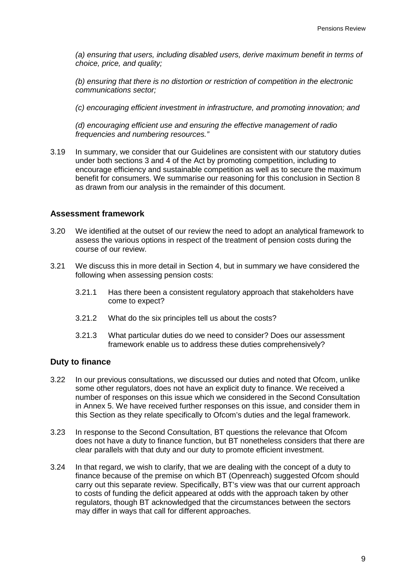*(a) ensuring that users, including disabled users, derive maximum benefit in terms of choice, price, and quality;*

*(b) ensuring that there is no distortion or restriction of competition in the electronic communications sector;*

*(c) encouraging efficient investment in infrastructure, and promoting innovation; and*

*(d) encouraging efficient use and ensuring the effective management of radio frequencies and numbering resources."*

3.19 In summary, we consider that our Guidelines are consistent with our statutory duties under both sections 3 and 4 of the Act by promoting competition, including to encourage efficiency and sustainable competition as well as to secure the maximum benefit for consumers. We summarise our reasoning for this conclusion in Section [8](#page-58-0) as drawn from our analysis in the remainder of this document.

#### **Assessment framework**

- 3.20 We identified at the outset of our review the need to adopt an analytical framework to assess the various options in respect of the treatment of pension costs during the course of our review.
- 3.21 We discuss this in more detail in Section [4,](#page-17-0) but in summary we have considered the following when assessing pension costs:
	- 3.21.1 Has there been a consistent regulatory approach that stakeholders have come to expect?
	- 3.21.2 What do the six principles tell us about the costs?
	- 3.21.3 What particular duties do we need to consider? Does our assessment framework enable us to address these duties comprehensively?

#### **Duty to finance**

- <span id="page-11-0"></span>3.22 In our previous consultations, we discussed our duties and noted that Ofcom, unlike some other regulators, does not have an explicit duty to finance. We received a number of responses on this issue which we considered in the Second Consultation in Annex 5. We have received further responses on this issue, and consider them in this Section as they relate specifically to Ofcom's duties and the legal framework.
- 3.23 In response to the Second Consultation, BT questions the relevance that Ofcom does not have a duty to finance function, but BT nonetheless considers that there are clear parallels with that duty and our duty to promote efficient investment.
- 3.24 In that regard, we wish to clarify, that we are dealing with the concept of a duty to finance because of the premise on which BT (Openreach) suggested Ofcom should carry out this separate review. Specifically, BT's view was that our current approach to costs of funding the deficit appeared at odds with the approach taken by other regulators, though BT acknowledged that the circumstances between the sectors may differ in ways that call for different approaches.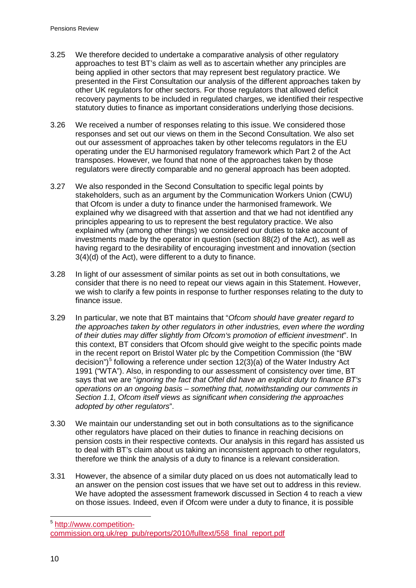- 3.25 We therefore decided to undertake a comparative analysis of other regulatory approaches to test BT's claim as well as to ascertain whether any principles are being applied in other sectors that may represent best regulatory practice. We presented in the First Consultation our analysis of the different approaches taken by other UK regulators for other sectors. For those regulators that allowed deficit recovery payments to be included in regulated charges, we identified their respective statutory duties to finance as important considerations underlying those decisions.
- 3.26 We received a number of responses relating to this issue. We considered those responses and set out our views on them in the Second Consultation. We also set out our assessment of approaches taken by other telecoms regulators in the EU operating under the EU harmonised regulatory framework which Part 2 of the Act transposes. However, we found that none of the approaches taken by those regulators were directly comparable and no general approach has been adopted.
- 3.27 We also responded in the Second Consultation to specific legal points by stakeholders, such as an argument by the Communication Workers Union (CWU) that Ofcom is under a duty to finance under the harmonised framework. We explained why we disagreed with that assertion and that we had not identified any principles appearing to us to represent the best regulatory practice. We also explained why (among other things) we considered our duties to take account of investments made by the operator in question (section 88(2) of the Act), as well as having regard to the desirability of encouraging investment and innovation (section 3(4)(d) of the Act), were different to a duty to finance.
- 3.28 In light of our assessment of similar points as set out in both consultations, we consider that there is no need to repeat our views again in this Statement. However, we wish to clarify a few points in response to further responses relating to the duty to finance issue.
- <span id="page-12-1"></span>3.29 In particular, we note that BT maintains that "*Ofcom should have greater regard to the approaches taken by other regulators in other industries, even where the wording of their duties may differ slightly from Ofcom's promotion of efficient investment*". In this context, BT considers that Ofcom should give weight to the specific points made in the recent report on Bristol Water plc by the Competition Commission (the "BW decision")<sup>[5](#page-12-0)</sup> following a reference under section 12(3)(a) of the Water Industry Act 1991 ("WTA"). Also, in responding to our assessment of consistency over time, BT says that we are "*ignoring the fact that Oftel did have an explicit duty to finance BT's operations on an ongoing basis – something that, notwithstanding our comments in Section 1.1, Ofcom itself views as significant when considering the approaches adopted by other regulators*".
- 3.30 We maintain our understanding set out in both consultations as to the significance other regulators have placed on their duties to finance in reaching decisions on pension costs in their respective contexts. Our analysis in this regard has assisted us to deal with BT's claim about us taking an inconsistent approach to other regulators, therefore we think the analysis of a duty to finance is a relevant consideration.
- 3.31 However, the absence of a similar duty placed on us does not automatically lead to an answer on the pension cost issues that we have set out to address in this review. We have adopted the assessment framework discussed in Section [4](#page-17-0) to reach a view on those issues. Indeed, even if Ofcom were under a duty to finance, it is possible

<span id="page-12-0"></span> 5 [http://www.competition](http://www.competition-commission.org.uk/rep_pub/reports/2010/fulltext/558_final_report.pdf)[commission.org.uk/rep\\_pub/reports/2010/fulltext/558\\_final\\_report.pdf](http://www.competition-commission.org.uk/rep_pub/reports/2010/fulltext/558_final_report.pdf)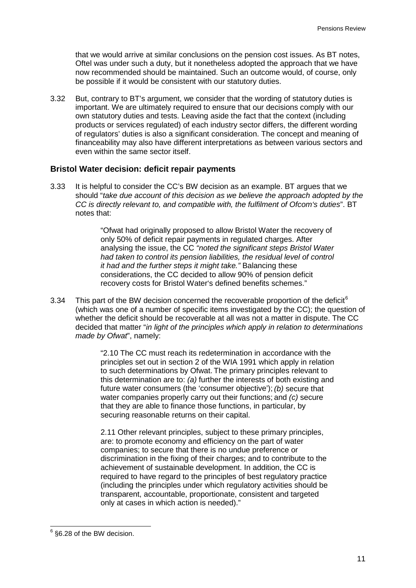that we would arrive at similar conclusions on the pension cost issues. As BT notes, Oftel was under such a duty, but it nonetheless adopted the approach that we have now recommended should be maintained. Such an outcome would, of course, only be possible if it would be consistent with our statutory duties.

3.32 But, contrary to BT's argument, we consider that the wording of statutory duties is important. We are ultimately required to ensure that our decisions comply with our own statutory duties and tests. Leaving aside the fact that the context (including products or services regulated) of each industry sector differs, the different wording of regulators' duties is also a significant consideration. The concept and meaning of financeability may also have different interpretations as between various sectors and even within the same sector itself

## **Bristol Water decision: deficit repair payments**

<span id="page-13-1"></span>3.33 It is helpful to consider the CC's BW decision as an example. BT argues that we should "*take due account of this decision as we believe the approach adopted by the CC is directly relevant to, and compatible with, the fulfilment of Ofcom's duties*". BT notes that:

> "Ofwat had originally proposed to allow Bristol Water the recovery of only 50% of deficit repair payments in regulated charges. After analysing the issue, the CC *"noted the significant steps Bristol Water had taken to control its pension liabilities, the residual level of control it had and the further steps it might take."* Balancing these considerations, the CC decided to allow 90% of pension deficit recovery costs for Bristol Water's defined benefits schemes."

3.34 This part of the BW decision concerned the recoverable proportion of the deficit<sup>[6](#page-13-0)</sup> (which was one of a number of specific items investigated by the CC); the question of whether the deficit should be recoverable at all was not a matter in dispute. The CC decided that matter "*in light of the principles which apply in relation to determinations made by Ofwat*", namely:

> "2.10 The CC must reach its redetermination in accordance with the principles set out in section 2 of the WIA 1991 which apply in relation to such determinations by Ofwat. The primary principles relevant to this determination are to: *(a)* further the interests of both existing and future water consumers (the 'consumer objective'); *(b)* secure that water companies properly carry out their functions; and *(c)* secure that they are able to finance those functions, in particular, by securing reasonable returns on their capital.

2.11 Other relevant principles, subject to these primary principles, are: to promote economy and efficiency on the part of water companies; to secure that there is no undue preference or discrimination in the fixing of their charges; and to contribute to the achievement of sustainable development. In addition, the CC is required to have regard to the principles of best regulatory practice (including the principles under which regulatory activities should be transparent, accountable, proportionate, consistent and targeted only at cases in which action is needed)."

<span id="page-13-0"></span> <sup>6</sup> §6.28 of the BW decision.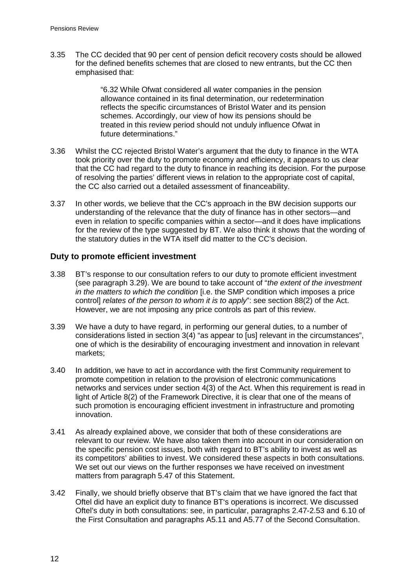3.35 The CC decided that 90 per cent of pension deficit recovery costs should be allowed for the defined benefits schemes that are closed to new entrants, but the CC then emphasised that:

> "6.32 While Ofwat considered all water companies in the pension allowance contained in its final determination, our redetermination reflects the specific circumstances of Bristol Water and its pension schemes. Accordingly, our view of how its pensions should be treated in this review period should not unduly influence Ofwat in future determinations."

- 3.36 Whilst the CC rejected Bristol Water's argument that the duty to finance in the WTA took priority over the duty to promote economy and efficiency, it appears to us clear that the CC had regard to the duty to finance in reaching its decision. For the purpose of resolving the parties' different views in relation to the appropriate cost of capital, the CC also carried out a detailed assessment of financeability.
- <span id="page-14-0"></span>3.37 In other words, we believe that the CC's approach in the BW decision supports our understanding of the relevance that the duty of finance has in other sectors—and even in relation to specific companies within a sector—and it does have implications for the review of the type suggested by BT. We also think it shows that the wording of the statutory duties in the WTA itself did matter to the CC's decision.

## **Duty to promote efficient investment**

- 3.38 BT's response to our consultation refers to our duty to promote efficient investment (see paragraph [3.29\)](#page-12-1). We are bound to take account of "*the extent of the investment in the matters to which the condition* [i.e. the SMP condition which imposes a price control] *relates of the person to whom it is to apply*": see section 88(2) of the Act. However, we are not imposing any price controls as part of this review.
- 3.39 We have a duty to have regard, in performing our general duties, to a number of considerations listed in section 3(4) "as appear to [us] relevant in the circumstances", one of which is the desirability of encouraging investment and innovation in relevant markets;
- 3.40 In addition, we have to act in accordance with the first Community requirement to promote competition in relation to the provision of electronic communications networks and services under section 4(3) of the Act. When this requirement is read in light of Article 8(2) of the Framework Directive, it is clear that one of the means of such promotion is encouraging efficient investment in infrastructure and promoting innovation.
- 3.41 As already explained above, we consider that both of these considerations are relevant to our review. We have also taken them into account in our consideration on the specific pension cost issues, both with regard to BT's ability to invest as well as its competitors' abilities to invest. We considered these aspects in both consultations. We set out our views on the further responses we have received on investment matters from paragraph [5.47](#page-34-0) of this Statement.
- 3.42 Finally, we should briefly observe that BT's claim that we have ignored the fact that Oftel did have an explicit duty to finance BT's operations is incorrect. We discussed Oftel's duty in both consultations: see, in particular, paragraphs 2.47-2.53 and 6.10 of the First Consultation and paragraphs A5.11 and A5.77 of the Second Consultation.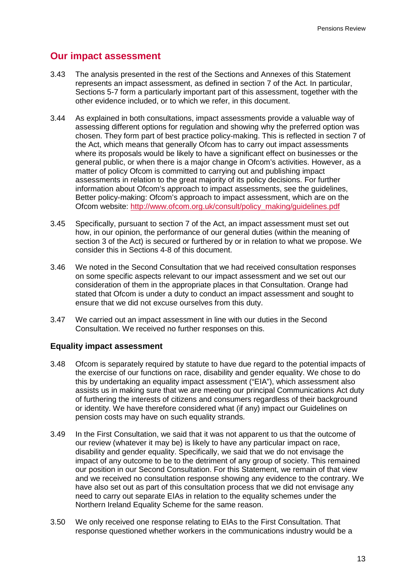## **Our impact assessment**

- 3.43 The analysis presented in the rest of the Sections and Annexes of this Statement represents an impact assessment, as defined in section 7 of the Act. In particular, Sections [5-](#page-25-0)7 form a particularly important part of this assessment, together with the other evidence included, or to which we refer, in this document.
- 3.44 As explained in both consultations, impact assessments provide a valuable way of assessing different options for regulation and showing why the preferred option was chosen. They form part of best practice policy-making. This is reflected in section 7 of the Act, which means that generally Ofcom has to carry out impact assessments where its proposals would be likely to have a significant effect on businesses or the general public, or when there is a major change in Ofcom's activities. However, as a matter of policy Ofcom is committed to carrying out and publishing impact assessments in relation to the great majority of its policy decisions. For further information about Ofcom's approach to impact assessments, see the guidelines, Better policy-making: Ofcom's approach to impact assessment, which are on the Ofcom website: [http://www.ofcom.org.uk/consult/policy\\_making/guidelines.pdf](http://www.ofcom.org.uk/consult/policy_making/guidelines.pdf)
- 3.45 Specifically, pursuant to section 7 of the Act, an impact assessment must set out how, in our opinion, the performance of our general duties (within the meaning of section 3 of the Act) is secured or furthered by or in relation to what we propose. We consider this in Sections [4](#page-17-0)[-8](#page-58-0) of this document.
- 3.46 We noted in the Second Consultation that we had received consultation responses on some specific aspects relevant to our impact assessment and we set out our consideration of them in the appropriate places in that Consultation. Orange had stated that Ofcom is under a duty to conduct an impact assessment and sought to ensure that we did not excuse ourselves from this duty.
- 3.47 We carried out an impact assessment in line with our duties in the Second Consultation. We received no further responses on this.

#### **Equality impact assessment**

- 3.48 Ofcom is separately required by statute to have due regard to the potential impacts of the exercise of our functions on race, disability and gender equality. We chose to do this by undertaking an equality impact assessment ("EIA"), which assessment also assists us in making sure that we are meeting our principal Communications Act duty of furthering the interests of citizens and consumers regardless of their background or identity. We have therefore considered what (if any) impact our Guidelines on pension costs may have on such equality strands.
- 3.49 In the First Consultation, we said that it was not apparent to us that the outcome of our review (whatever it may be) is likely to have any particular impact on race, disability and gender equality. Specifically, we said that we do not envisage the impact of any outcome to be to the detriment of any group of society. This remained our position in our Second Consultation. For this Statement, we remain of that view and we received no consultation response showing any evidence to the contrary. We have also set out as part of this consultation process that we did not envisage any need to carry out separate EIAs in relation to the equality schemes under the Northern Ireland Equality Scheme for the same reason.
- 3.50 We only received one response relating to EIAs to the First Consultation. That response questioned whether workers in the communications industry would be a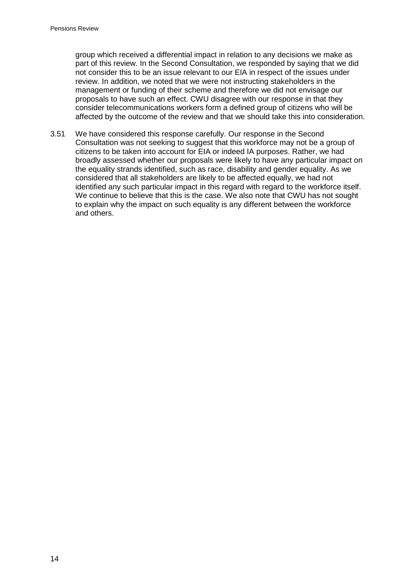group which received a differential impact in relation to any decisions we make as part of this review. In the Second Consultation, we responded by saying that we did not consider this to be an issue relevant to our EIA in respect of the issues under review. In addition, we noted that we were not instructing stakeholders in the management or funding of their scheme and therefore we did not envisage our proposals to have such an effect. CWU disagree with our response in that they consider telecommunications workers form a defined group of citizens who will be affected by the outcome of the review and that we should take this into consideration.

3.51 We have considered this response carefully. Our response in the Second Consultation was not seeking to suggest that this workforce may not be a group of citizens to be taken into account for EIA or indeed IA purposes. Rather, we had broadly assessed whether our proposals were likely to have any particular impact on the equality strands identified, such as race, disability and gender equality. As we considered that all stakeholders are likely to be affected equally, we had not identified any such particular impact in this regard with regard to the workforce itself. We continue to believe that this is the case. We also note that CWU has not sought to explain why the impact on such equality is any different between the workforce and others.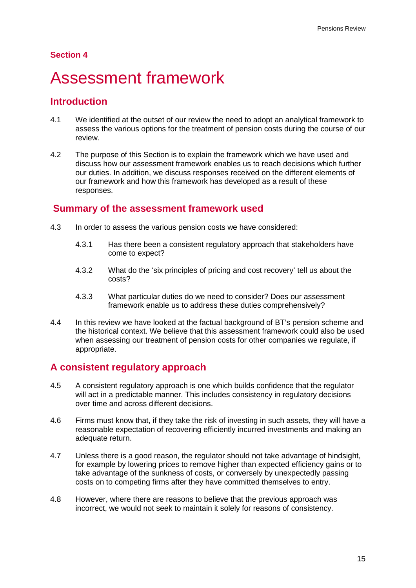## **Section 4**

# <span id="page-17-0"></span>4 Assessment framework

## **Introduction**

- 4.1 We identified at the outset of our review the need to adopt an analytical framework to assess the various options for the treatment of pension costs during the course of our review.
- 4.2 The purpose of this Section is to explain the framework which we have used and discuss how our assessment framework enables us to reach decisions which further our duties. In addition, we discuss responses received on the different elements of our framework and how this framework has developed as a result of these responses.

## **Summary of the assessment framework used**

- 4.3 In order to assess the various pension costs we have considered:
	- 4.3.1 Has there been a consistent regulatory approach that stakeholders have come to expect?
	- 4.3.2 What do the 'six principles of pricing and cost recovery' tell us about the costs?
	- 4.3.3 What particular duties do we need to consider? Does our assessment framework enable us to address these duties comprehensively?
- 4.4 In this review we have looked at the factual background of BT's pension scheme and the historical context. We believe that this assessment framework could also be used when assessing our treatment of pension costs for other companies we regulate, if appropriate.

## **A consistent regulatory approach**

- <span id="page-17-1"></span>4.5 A consistent regulatory approach is one which builds confidence that the regulator will act in a predictable manner. This includes consistency in regulatory decisions over time and across different decisions.
- 4.6 Firms must know that, if they take the risk of investing in such assets, they will have a reasonable expectation of recovering efficiently incurred investments and making an adequate return.
- 4.7 Unless there is a good reason, the regulator should not take advantage of hindsight, for example by lowering prices to remove higher than expected efficiency gains or to take advantage of the sunkness of costs, or conversely by unexpectedly passing costs on to competing firms after they have committed themselves to entry.
- 4.8 However, where there are reasons to believe that the previous approach was incorrect, we would not seek to maintain it solely for reasons of consistency.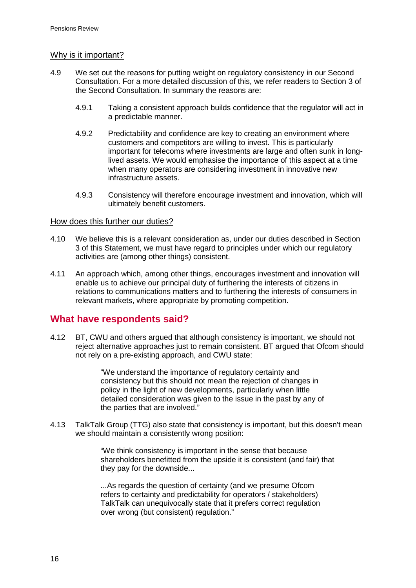## Why is it important?

- 4.9 We set out the reasons for putting weight on regulatory consistency in our Second Consultation. For a more detailed discussion of this, we refer readers to Section 3 of the Second Consultation. In summary the reasons are:
	- 4.9.1 Taking a consistent approach builds confidence that the regulator will act in a predictable manner.
	- 4.9.2 Predictability and confidence are key to creating an environment where customers and competitors are willing to invest. This is particularly important for telecoms where investments are large and often sunk in longlived assets. We would emphasise the importance of this aspect at a time when many operators are considering investment in innovative new infrastructure assets.
	- 4.9.3 Consistency will therefore encourage investment and innovation, which will ultimately benefit customers.

#### How does this further our duties?

- 4.10 We believe this is a relevant consideration as, under our duties described in Section [3](#page-8-0) of this Statement, we must have regard to principles under which our regulatory activities are (among other things) consistent.
- 4.11 An approach which, among other things, encourages investment and innovation will enable us to achieve our principal duty of furthering the interests of citizens in relations to communications matters and to furthering the interests of consumers in relevant markets, where appropriate by promoting competition.

## **What have respondents said?**

4.12 BT, CWU and others argued that although consistency is important, we should not reject alternative approaches just to remain consistent. BT argued that Ofcom should not rely on a pre-existing approach, and CWU state:

> "We understand the importance of regulatory certainty and consistency but this should not mean the rejection of changes in policy in the light of new developments, particularly when little detailed consideration was given to the issue in the past by any of the parties that are involved."

4.13 TalkTalk Group (TTG) also state that consistency is important, but this doesn't mean we should maintain a consistently wrong position:

> "We think consistency is important in the sense that because shareholders benefitted from the upside it is consistent (and fair) that they pay for the downside...

...As regards the question of certainty (and we presume Ofcom refers to certainty and predictability for operators / stakeholders) TalkTalk can unequivocally state that it prefers correct regulation over wrong (but consistent) regulation."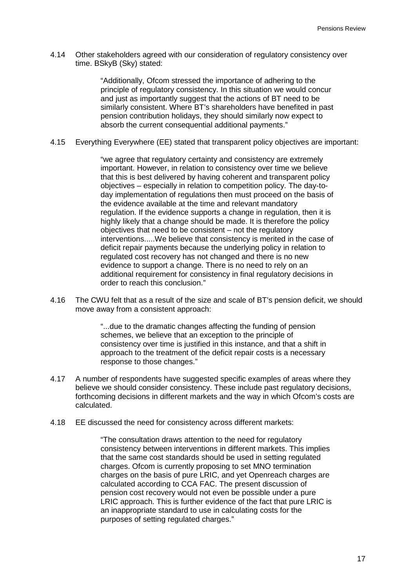4.14 Other stakeholders agreed with our consideration of regulatory consistency over time. BSkyB (Sky) stated:

> "Additionally, Ofcom stressed the importance of adhering to the principle of regulatory consistency. In this situation we would concur and just as importantly suggest that the actions of BT need to be similarly consistent. Where BT's shareholders have benefited in past pension contribution holidays, they should similarly now expect to absorb the current consequential additional payments."

4.15 Everything Everywhere (EE) stated that transparent policy objectives are important:

"we agree that regulatory certainty and consistency are extremely important. However, in relation to consistency over time we believe that this is best delivered by having coherent and transparent policy objectives – especially in relation to competition policy. The day-today implementation of regulations then must proceed on the basis of the evidence available at the time and relevant mandatory regulation. If the evidence supports a change in regulation, then it is highly likely that a change should be made. It is therefore the policy objectives that need to be consistent – not the regulatory interventions.....We believe that consistency is merited in the case of deficit repair payments because the underlying policy in relation to regulated cost recovery has not changed and there is no new evidence to support a change. There is no need to rely on an additional requirement for consistency in final regulatory decisions in order to reach this conclusion."

4.16 The CWU felt that as a result of the size and scale of BT's pension deficit, we should move away from a consistent approach:

> "...due to the dramatic changes affecting the funding of pension schemes, we believe that an exception to the principle of consistency over time is justified in this instance, and that a shift in approach to the treatment of the deficit repair costs is a necessary response to those changes."

- 4.17 A number of respondents have suggested specific examples of areas where they believe we should consider consistency. These include past regulatory decisions, forthcoming decisions in different markets and the way in which Ofcom's costs are calculated.
- 4.18 EE discussed the need for consistency across different markets:

"The consultation draws attention to the need for regulatory consistency between interventions in different markets. This implies that the same cost standards should be used in setting regulated charges. Ofcom is currently proposing to set MNO termination charges on the basis of pure LRIC, and yet Openreach charges are calculated according to CCA FAC. The present discussion of pension cost recovery would not even be possible under a pure LRIC approach. This is further evidence of the fact that pure LRIC is an inappropriate standard to use in calculating costs for the purposes of setting regulated charges."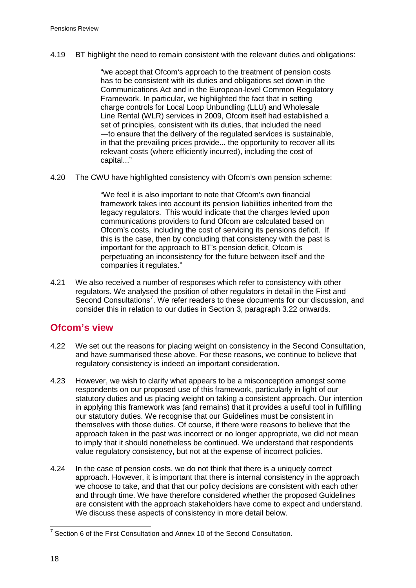4.19 BT highlight the need to remain consistent with the relevant duties and obligations:

"we accept that Ofcom's approach to the treatment of pension costs has to be consistent with its duties and obligations set down in the Communications Act and in the European-level Common Regulatory Framework. In particular, we highlighted the fact that in setting charge controls for Local Loop Unbundling (LLU) and Wholesale Line Rental (WLR) services in 2009, Ofcom itself had established a set of principles, consistent with its duties, that included the need ―to ensure that the delivery of the regulated services is sustainable, in that the prevailing prices provide... the opportunity to recover all its relevant costs (where efficiently incurred), including the cost of capital..."

4.20 The CWU have highlighted consistency with Ofcom's own pension scheme:

"We feel it is also important to note that Ofcom's own financial framework takes into account its pension liabilities inherited from the legacy regulators. This would indicate that the charges levied upon communications providers to fund Ofcom are calculated based on Ofcom's costs, including the cost of servicing its pensions deficit. If this is the case, then by concluding that consistency with the past is important for the approach to BT's pension deficit, Ofcom is perpetuating an inconsistency for the future between itself and the companies it regulates."

4.21 We also received a number of responses which refer to consistency with other regulators. We analysed the position of other regulators in detail in the First and Second Consultations<sup>[7](#page-20-0)</sup>. We refer readers to these documents for our discussion, and consider this in relation to our duties in Section [3](#page-8-0), paragraph [3.22](#page-11-0) onwards.

## **Ofcom's view**

- 4.22 We set out the reasons for placing weight on consistency in the Second Consultation, and have summarised these above. For these reasons, we continue to believe that regulatory consistency is indeed an important consideration.
- 4.23 However, we wish to clarify what appears to be a misconception amongst some respondents on our proposed use of this framework, particularly in light of our statutory duties and us placing weight on taking a consistent approach. Our intention in applying this framework was (and remains) that it provides a useful tool in fulfilling our statutory duties. We recognise that our Guidelines must be consistent in themselves with those duties. Of course, if there were reasons to believe that the approach taken in the past was incorrect or no longer appropriate, we did not mean to imply that it should nonetheless be continued. We understand that respondents value regulatory consistency, but not at the expense of incorrect policies.
- 4.24 In the case of pension costs, we do not think that there is a uniquely correct approach. However, it is important that there is internal consistency in the approach we choose to take, and that that our policy decisions are consistent with each other and through time. We have therefore considered whether the proposed Guidelines are consistent with the approach stakeholders have come to expect and understand. We discuss these aspects of consistency in more detail below.

<span id="page-20-0"></span> $7$  Section 6 of the First Consultation and Annex 10 of the Second Consultation.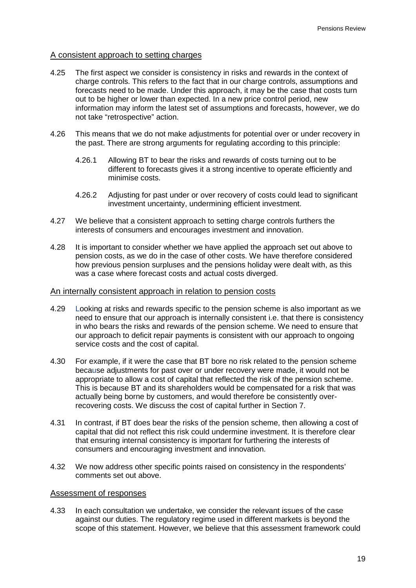#### A consistent approach to setting charges

- 4.25 The first aspect we consider is consistency in risks and rewards in the context of charge controls. This refers to the fact that in our charge controls, assumptions and forecasts need to be made. Under this approach, it may be the case that costs turn out to be higher or lower than expected. In a new price control period, new information may inform the latest set of assumptions and forecasts, however, we do not take "retrospective" action.
- <span id="page-21-0"></span>4.26 This means that we do not make adjustments for potential over or under recovery in the past. There are strong arguments for regulating according to this principle:
	- 4.26.1 Allowing BT to bear the risks and rewards of costs turning out to be different to forecasts gives it a strong incentive to operate efficiently and minimise costs.
	- 4.26.2 Adjusting for past under or over recovery of costs could lead to significant investment uncertainty, undermining efficient investment.
- 4.27 We believe that a consistent approach to setting charge controls furthers the interests of consumers and encourages investment and innovation.
- 4.28 It is important to consider whether we have applied the approach set out above to pension costs, as we do in the case of other costs. We have therefore considered how previous pension surpluses and the pensions holiday were dealt with, as this was a case where forecast costs and actual costs diverged.

#### An internally consistent approach in relation to pension costs

- 4.29 Looking at risks and rewards specific to the pension scheme is also important as we need to ensure that our approach is internally consistent i.e. that there is consistency in who bears the risks and rewards of the pension scheme. We need to ensure that our approach to deficit repair payments is consistent with our approach to ongoing service costs and the cost of capital.
- 4.30 For example, if it were the case that BT bore no risk related to the pension scheme because adjustments for past over or under recovery were made, it would not be appropriate to allow a cost of capital that reflected the risk of the pension scheme. This is because BT and its shareholders would be compensated for a risk that was actually being borne by customers, and would therefore be consistently overrecovering costs. We discuss the cost of capital further in Section [7.](#page-49-0)
- 4.31 In contrast, if BT does bear the risks of the pension scheme, then allowing a cost of capital that did not reflect this risk could undermine investment. It is therefore clear that ensuring internal consistency is important for furthering the interests of consumers and encouraging investment and innovation.
- 4.32 We now address other specific points raised on consistency in the respondents' comments set out above.

#### Assessment of responses

4.33 In each consultation we undertake, we consider the relevant issues of the case against our duties. The regulatory regime used in different markets is beyond the scope of this statement. However, we believe that this assessment framework could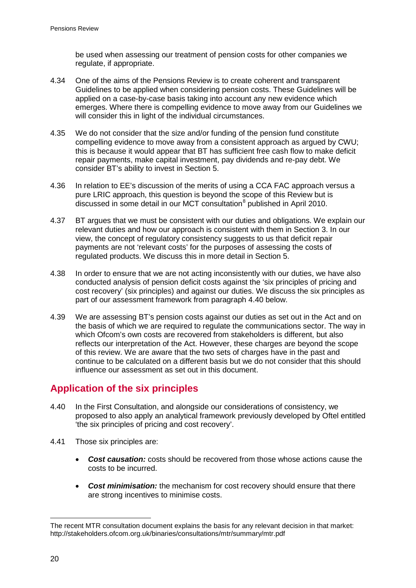be used when assessing our treatment of pension costs for other companies we regulate, if appropriate.

- 4.34 One of the aims of the Pensions Review is to create coherent and transparent Guidelines to be applied when considering pension costs. These Guidelines will be applied on a case-by-case basis taking into account any new evidence which emerges. Where there is compelling evidence to move away from our Guidelines we will consider this in light of the individual circumstances.
- 4.35 We do not consider that the size and/or funding of the pension fund constitute compelling evidence to move away from a consistent approach as argued by CWU; this is because it would appear that BT has sufficient free cash flow to make deficit repair payments, make capital investment, pay dividends and re-pay debt. We consider BT's ability to invest in Section [5.](#page-25-0)
- 4.36 In relation to EE's discussion of the merits of using a CCA FAC approach versus a pure LRIC approach, this question is beyond the scope of this Review but is discussed in some detail in our MCT consultation<sup>[8](#page-22-1)</sup> published in April 2010.
- 4.37 BT argues that we must be consistent with our duties and obligations. We explain our relevant duties and how our approach is consistent with them in Section [3.](#page-8-0) In our view, the concept of regulatory consistency suggests to us that deficit repair payments are not 'relevant costs' for the purposes of assessing the costs of regulated products. We discuss this in more detail in Section [5.](#page-25-0)
- 4.38 In order to ensure that we are not acting inconsistently with our duties, we have also conducted analysis of pension deficit costs against the 'six principles of pricing and cost recovery' (six principles) and against our duties. We discuss the six principles as part of our assessment framework from paragraph [4.40](#page-22-0) below.
- 4.39 We are assessing BT's pension costs against our duties as set out in the Act and on the basis of which we are required to regulate the communications sector. The way in which Ofcom's own costs are recovered from stakeholders is different, but also reflects our interpretation of the Act. However, these charges are beyond the scope of this review. We are aware that the two sets of charges have in the past and continue to be calculated on a different basis but we do not consider that this should influence our assessment as set out in this document.

# **Application of the six principles**

- <span id="page-22-0"></span>4.40 In the First Consultation, and alongside our considerations of consistency, we proposed to also apply an analytical framework previously developed by Oftel entitled 'the six principles of pricing and cost recovery'.
- 4.41 Those six principles are:
	- *Cost causation:* costs should be recovered from those whose actions cause the costs to be incurred.
	- *Cost minimisation:* the mechanism for cost recovery should ensure that there are strong incentives to minimise costs.

<span id="page-22-1"></span><sup>-</sup>The recent MTR consultation document explains the basis for any relevant decision in that market: http://stakeholders.ofcom.org.uk/binaries/consultations/mtr/summary/mtr.pdf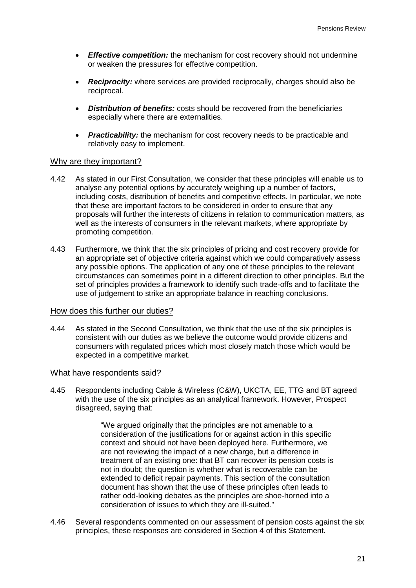- *Effective competition:* the mechanism for cost recovery should not undermine or weaken the pressures for effective competition.
- *Reciprocity:* where services are provided reciprocally, charges should also be reciprocal.
- *Distribution of benefits:* costs should be recovered from the beneficiaries especially where there are externalities.
- **Practicability:** the mechanism for cost recovery needs to be practicable and relatively easy to implement.

#### Why are they important?

- 4.42 As stated in our First Consultation, we consider that these principles will enable us to analyse any potential options by accurately weighing up a number of factors, including costs, distribution of benefits and competitive effects. In particular, we note that these are important factors to be considered in order to ensure that any proposals will further the interests of citizens in relation to communication matters, as well as the interests of consumers in the relevant markets, where appropriate by promoting competition.
- 4.43 Furthermore, we think that the six principles of pricing and cost recovery provide for an appropriate set of objective criteria against which we could comparatively assess any possible options. The application of any one of these principles to the relevant circumstances can sometimes point in a different direction to other principles. But the set of principles provides a framework to identify such trade-offs and to facilitate the use of judgement to strike an appropriate balance in reaching conclusions.

#### How does this further our duties?

4.44 As stated in the Second Consultation, we think that the use of the six principles is consistent with our duties as we believe the outcome would provide citizens and consumers with regulated prices which most closely match those which would be expected in a competitive market.

#### What have respondents said?

4.45 Respondents including Cable & Wireless (C&W), UKCTA, EE, TTG and BT agreed with the use of the six principles as an analytical framework. However, Prospect disagreed, saying that:

> "We argued originally that the principles are not amenable to a consideration of the justifications for or against action in this specific context and should not have been deployed here. Furthermore, we are not reviewing the impact of a new charge, but a difference in treatment of an existing one: that BT can recover its pension costs is not in doubt; the question is whether what is recoverable can be extended to deficit repair payments. This section of the consultation document has shown that the use of these principles often leads to rather odd-looking debates as the principles are shoe-horned into a consideration of issues to which they are ill-suited."

4.46 Several respondents commented on our assessment of pension costs against the six principles, these responses are considered in Section 4 of this Statement.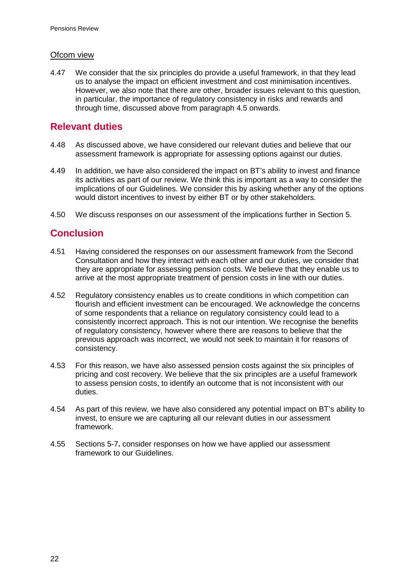### Ofcom view

4.47 We consider that the six principles do provide a useful framework, in that they lead us to analyse the impact on efficient investment and cost minimisation incentives. However, we also note that there are other, broader issues relevant to this question, in particular, the importance of regulatory consistency in risks and rewards and through time, discussed above from paragraph [4.5](#page-17-1) onwards.

# **Relevant duties**

- 4.48 As discussed above, we have considered our relevant duties and believe that our assessment framework is appropriate for assessing options against our duties.
- 4.49 In addition, we have also considered the impact on BT's ability to invest and finance its activities as part of our review. We think this is important as a way to consider the implications of our Guidelines. We consider this by asking whether any of the options would distort incentives to invest by either BT or by other stakeholders.
- 4.50 We discuss responses on our assessment of the implications further in Section [5.](#page-25-0)

# **Conclusion**

- 4.51 Having considered the responses on our assessment framework from the Second Consultation and how they interact with each other and our duties, we consider that they are appropriate for assessing pension costs. We believe that they enable us to arrive at the most appropriate treatment of pension costs in line with our duties.
- 4.52 Regulatory consistency enables us to create conditions in which competition can flourish and efficient investment can be encouraged. We acknowledge the concerns of some respondents that a reliance on regulatory consistency could lead to a consistently incorrect approach. This is not our intention. We recognise the benefits of regulatory consistency, however where there are reasons to believe that the previous approach was incorrect, we would not seek to maintain it for reasons of consistency.
- 4.53 For this reason, we have also assessed pension costs against the six principles of pricing and cost recovery. We believe that the six principles are a useful framework to assess pension costs, to identify an outcome that is not inconsistent with our duties.
- 4.54 As part of this review, we have also considered any potential impact on BT's ability to invest, to ensure we are capturing all our relevant duties in our assessment framework.
- 4.55 Sections [5-](#page-25-0)[7](#page-49-0)**[.](#page-49-0)** consider responses on how we have applied our assessment framework to our Guidelines.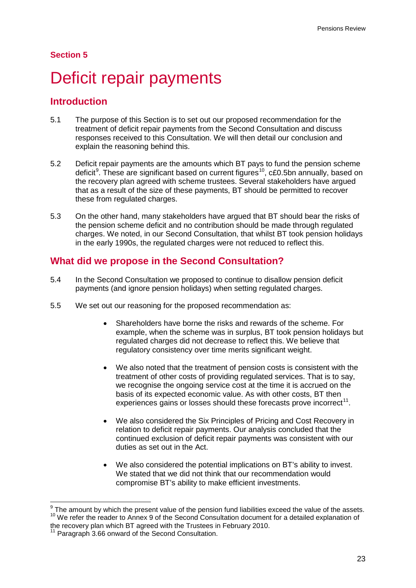## **Section 5**

# <span id="page-25-0"></span>Deficit repair payments

## **Introduction**

- 5.1 The purpose of this Section is to set out our proposed recommendation for the treatment of deficit repair payments from the Second Consultation and discuss responses received to this Consultation. We will then detail our conclusion and explain the reasoning behind this.
- 5.2 Deficit repair payments are the amounts which BT pays to fund the pension scheme deficit<sup>[9](#page-25-1)</sup>. These are significant based on current figures<sup>[10](#page-25-2)</sup>, c£0.5bn annually, based on the recovery plan agreed with scheme trustees. Several stakeholders have argued that as a result of the size of these payments, BT should be permitted to recover these from regulated charges.
- 5.3 On the other hand, many stakeholders have argued that BT should bear the risks of the pension scheme deficit and no contribution should be made through regulated charges. We noted, in our Second Consultation, that whilst BT took pension holidays in the early 1990s, the regulated charges were not reduced to reflect this.

## **What did we propose in the Second Consultation?**

- 5.4 In the Second Consultation we proposed to continue to disallow pension deficit payments (and ignore pension holidays) when setting regulated charges.
- 5.5 We set out our reasoning for the proposed recommendation as:
	- Shareholders have borne the risks and rewards of the scheme. For example, when the scheme was in surplus, BT took pension holidays but regulated charges did not decrease to reflect this. We believe that regulatory consistency over time merits significant weight.
	- We also noted that the treatment of pension costs is consistent with the treatment of other costs of providing regulated services. That is to say, we recognise the ongoing service cost at the time it is accrued on the basis of its expected economic value. As with other costs, BT then experiences gains or losses should these forecasts prove incorrect<sup>[11](#page-25-3)</sup>.
	- We also considered the Six Principles of Pricing and Cost Recovery in relation to deficit repair payments. Our analysis concluded that the continued exclusion of deficit repair payments was consistent with our duties as set out in the Act.
	- We also considered the potential implications on BT's ability to invest. We stated that we did not think that our recommendation would compromise BT's ability to make efficient investments.

<span id="page-25-1"></span> $9$  The amount by which the present value of the pension fund liabilities exceed the value of the assets. <sup>10</sup> We refer the reader to Annex 9 of the Second Consultation document for a detailed explanation of

<span id="page-25-2"></span>the recovery plan which BT agreed with the Trustees in February 2010.

<span id="page-25-3"></span><sup>&</sup>lt;sup>11</sup> Paragraph 3.66 onward of the Second Consultation.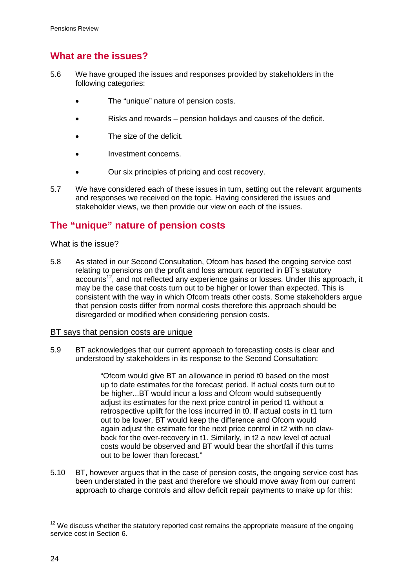# **What are the issues?**

- 5.6 We have grouped the issues and responses provided by stakeholders in the following categories:
	- The "unique" nature of pension costs.
	- Risks and rewards pension holidays and causes of the deficit.
	- The size of the deficit.
	- Investment concerns.
	- Our six principles of pricing and cost recovery.
- 5.7 We have considered each of these issues in turn, setting out the relevant arguments and responses we received on the topic. Having considered the issues and stakeholder views, we then provide our view on each of the issues.

# **The "unique" nature of pension costs**

#### What is the issue?

5.8 As stated in our Second Consultation, Ofcom has based the ongoing service cost relating to pensions on the profit and loss amount reported in BT's statutory accounts<sup>[12](#page-26-0)</sup>, and not reflected any experience gains or losses. Under this approach, it may be the case that costs turn out to be higher or lower than expected. This is consistent with the way in which Ofcom treats other costs. Some stakeholders argue that pension costs differ from normal costs therefore this approach should be disregarded or modified when considering pension costs.

#### BT says that pension costs are unique

5.9 BT acknowledges that our current approach to forecasting costs is clear and understood by stakeholders in its response to the Second Consultation:

> "Ofcom would give BT an allowance in period t0 based on the most up to date estimates for the forecast period. If actual costs turn out to be higher...BT would incur a loss and Ofcom would subsequently adjust its estimates for the next price control in period t1 without a retrospective uplift for the loss incurred in t0. If actual costs in t1 turn out to be lower, BT would keep the difference and Ofcom would again adjust the estimate for the next price control in t2 with no clawback for the over-recovery in t1. Similarly, in t2 a new level of actual costs would be observed and BT would bear the shortfall if this turns out to be lower than forecast."

5.10 BT, however argues that in the case of pension costs, the ongoing service cost has been understated in the past and therefore we should move away from our current approach to charge controls and allow deficit repair payments to make up for this:

<span id="page-26-0"></span> $12$  We discuss whether the statutory reported cost remains the appropriate measure of the ongoing service cost in Section [6.](#page-46-0)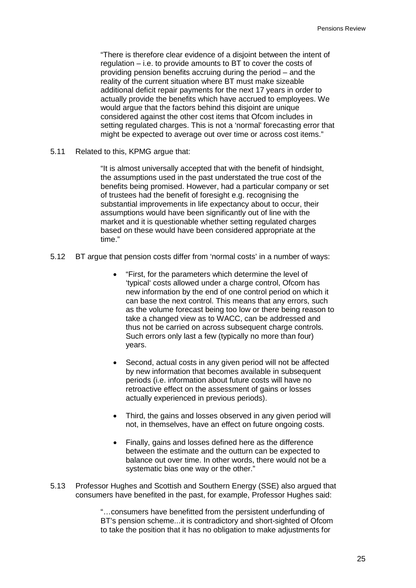"There is therefore clear evidence of a disjoint between the intent of regulation – i.e. to provide amounts to BT to cover the costs of providing pension benefits accruing during the period – and the reality of the current situation where BT must make sizeable additional deficit repair payments for the next 17 years in order to actually provide the benefits which have accrued to employees. We would argue that the factors behind this disjoint are unique considered against the other cost items that Ofcom includes in setting regulated charges. This is not a 'normal' forecasting error that might be expected to average out over time or across cost items."

5.11 Related to this, KPMG argue that:

"It is almost universally accepted that with the benefit of hindsight, the assumptions used in the past understated the true cost of the benefits being promised. However, had a particular company or set of trustees had the benefit of foresight e.g. recognising the substantial improvements in life expectancy about to occur, their assumptions would have been significantly out of line with the market and it is questionable whether setting regulated charges based on these would have been considered appropriate at the time."

- 5.12 BT argue that pension costs differ from 'normal costs' in a number of ways:
	- "First, for the parameters which determine the level of 'typical' costs allowed under a charge control, Ofcom has new information by the end of one control period on which it can base the next control. This means that any errors, such as the volume forecast being too low or there being reason to take a changed view as to WACC, can be addressed and thus not be carried on across subsequent charge controls. Such errors only last a few (typically no more than four) years.
	- Second, actual costs in any given period will not be affected by new information that becomes available in subsequent periods (i.e. information about future costs will have no retroactive effect on the assessment of gains or losses actually experienced in previous periods).
	- Third, the gains and losses observed in any given period will not, in themselves, have an effect on future ongoing costs.
	- Finally, gains and losses defined here as the difference between the estimate and the outturn can be expected to balance out over time. In other words, there would not be a systematic bias one way or the other."
- 5.13 Professor Hughes and Scottish and Southern Energy (SSE) also argued that consumers have benefited in the past, for example, Professor Hughes said:

"…consumers have benefitted from the persistent underfunding of BT's pension scheme...it is contradictory and short-sighted of Ofcom to take the position that it has no obligation to make adjustments for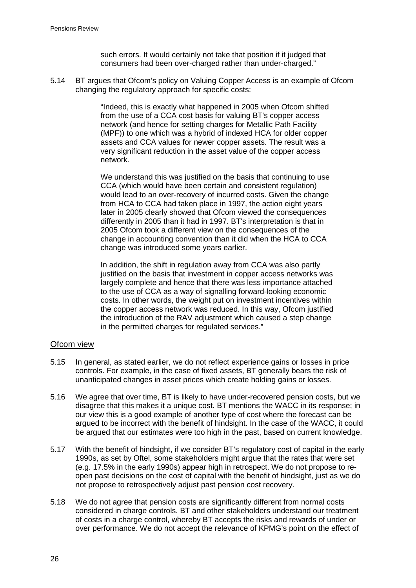such errors. It would certainly not take that position if it judged that consumers had been over-charged rather than under-charged."

5.14 BT argues that Ofcom's policy on Valuing Copper Access is an example of Ofcom changing the regulatory approach for specific costs:

> "Indeed, this is exactly what happened in 2005 when Ofcom shifted from the use of a CCA cost basis for valuing BT's copper access network (and hence for setting charges for Metallic Path Facility (MPF)) to one which was a hybrid of indexed HCA for older copper assets and CCA values for newer copper assets. The result was a very significant reduction in the asset value of the copper access network.

> We understand this was justified on the basis that continuing to use CCA (which would have been certain and consistent regulation) would lead to an over-recovery of incurred costs. Given the change from HCA to CCA had taken place in 1997, the action eight years later in 2005 clearly showed that Ofcom viewed the consequences differently in 2005 than it had in 1997. BT's interpretation is that in 2005 Ofcom took a different view on the consequences of the change in accounting convention than it did when the HCA to CCA change was introduced some years earlier.

In addition, the shift in regulation away from CCA was also partly justified on the basis that investment in copper access networks was largely complete and hence that there was less importance attached to the use of CCA as a way of signalling forward-looking economic costs. In other words, the weight put on investment incentives within the copper access network was reduced. In this way, Ofcom justified the introduction of the RAV adjustment which caused a step change in the permitted charges for regulated services."

#### Ofcom view

- 5.15 In general, as stated earlier, we do not reflect experience gains or losses in price controls. For example, in the case of fixed assets, BT generally bears the risk of unanticipated changes in asset prices which create holding gains or losses.
- 5.16 We agree that over time, BT is likely to have under-recovered pension costs, but we disagree that this makes it a unique cost. BT mentions the WACC in its response; in our view this is a good example of another type of cost where the forecast can be argued to be incorrect with the benefit of hindsight. In the case of the WACC, it could be argued that our estimates were too high in the past, based on current knowledge.
- 5.17 With the benefit of hindsight, if we consider BT's regulatory cost of capital in the early 1990s, as set by Oftel, some stakeholders might argue that the rates that were set (e.g. 17.5% in the early 1990s) appear high in retrospect. We do not propose to reopen past decisions on the cost of capital with the benefit of hindsight, just as we do not propose to retrospectively adjust past pension cost recovery.
- 5.18 We do not agree that pension costs are significantly different from normal costs considered in charge controls. BT and other stakeholders understand our treatment of costs in a charge control, whereby BT accepts the risks and rewards of under or over performance. We do not accept the relevance of KPMG's point on the effect of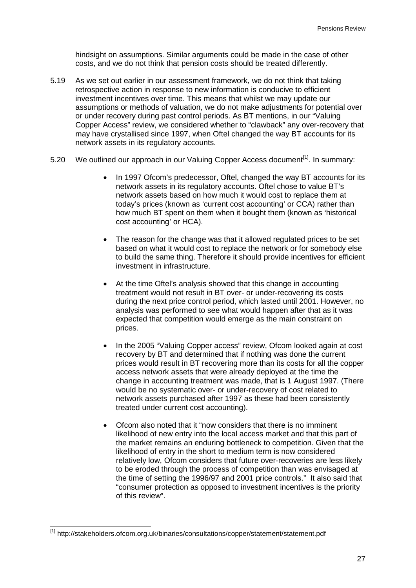hindsight on assumptions. Similar arguments could be made in the case of other costs, and we do not think that pension costs should be treated differently.

- 5.19 As we set out earlier in our assessment framework, we do not think that taking retrospective action in response to new information is conducive to efficient investment incentives over time. This means that whilst we may update our assumptions or methods of valuation, we do not make adjustments for potential over or under recovery during past control periods. As BT mentions, in our "Valuing Copper Access" review, we considered whether to "clawback" any over-recovery that may have crystallised since 1997, when Oftel changed the way BT accounts for its network assets in its regulatory accounts.
- <span id="page-29-1"></span>5.20 We outlined our approach in our Valuing Copper Access document<sup>[\[1\]](#page-29-0)</sup>. In summary:
	- In 1997 Ofcom's predecessor, Oftel, changed the way BT accounts for its network assets in its regulatory accounts. Oftel chose to value BT's network assets based on how much it would cost to replace them at today's prices (known as 'current cost accounting' or CCA) rather than how much BT spent on them when it bought them (known as 'historical cost accounting' or HCA).
	- The reason for the change was that it allowed regulated prices to be set based on what it would cost to replace the network or for somebody else to build the same thing. Therefore it should provide incentives for efficient investment in infrastructure.
	- At the time Oftel's analysis showed that this change in accounting treatment would not result in BT over- or under-recovering its costs during the next price control period, which lasted until 2001. However, no analysis was performed to see what would happen after that as it was expected that competition would emerge as the main constraint on prices.
	- In the 2005 "Valuing Copper access" review, Ofcom looked again at cost recovery by BT and determined that if nothing was done the current prices would result in BT recovering more than its costs for all the copper access network assets that were already deployed at the time the change in accounting treatment was made, that is 1 August 1997. (There would be no systematic over- or under-recovery of cost related to network assets purchased after 1997 as these had been consistently treated under current cost accounting).
	- Ofcom also noted that it "now considers that there is no imminent likelihood of new entry into the local access market and that this part of the market remains an enduring bottleneck to competition. Given that the likelihood of entry in the short to medium term is now considered relatively low, Ofcom considers that future over-recoveries are less likely to be eroded through the process of competition than was envisaged at the time of setting the 1996/97 and 2001 price controls." It also said that "consumer protection as opposed to investment incentives is the priority of this review".

<span id="page-29-0"></span> <sup>[1]</sup> http://stakeholders.ofcom.org.uk/binaries/consultations/copper/statement/statement.pdf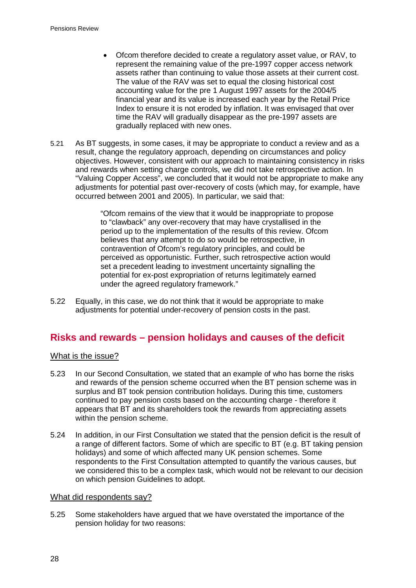- Ofcom therefore decided to create a regulatory asset value, or RAV, to represent the remaining value of the pre-1997 copper access network assets rather than continuing to value those assets at their current cost. The value of the RAV was set to equal the closing historical cost accounting value for the pre 1 August 1997 assets for the 2004/5 financial year and its value is increased each year by the Retail Price Index to ensure it is not eroded by inflation. It was envisaged that over time the RAV will gradually disappear as the pre-1997 assets are gradually replaced with new ones.
- 5.21 As BT suggests, in some cases, it may be appropriate to conduct a review and as a result, change the regulatory approach, depending on circumstances and policy objectives. However, consistent with our approach to maintaining consistency in risks and rewards when setting charge controls, we did not take retrospective action. In "Valuing Copper Access", we concluded that it would not be appropriate to make any adjustments for potential past over-recovery of costs (which may, for example, have occurred between 2001 and 2005). In particular, we said that:

"Ofcom remains of the view that it would be inappropriate to propose to "clawback" any over-recovery that may have crystallised in the period up to the implementation of the results of this review. Ofcom believes that any attempt to do so would be retrospective, in contravention of Ofcom's regulatory principles, and could be perceived as opportunistic. Further, such retrospective action would set a precedent leading to investment uncertainty signalling the potential for ex-post expropriation of returns legitimately earned under the agreed regulatory framework."

5.22 Equally, in this case, we do not think that it would be appropriate to make adjustments for potential under-recovery of pension costs in the past.

## **Risks and rewards – pension holidays and causes of the deficit**

## What is the issue?

- <span id="page-30-0"></span>5.23 In our Second Consultation, we stated that an example of who has borne the risks and rewards of the pension scheme occurred when the BT pension scheme was in surplus and BT took pension contribution holidays. During this time, customers continued to pay pension costs based on the accounting charge - therefore it appears that BT and its shareholders took the rewards from appreciating assets within the pension scheme.
- 5.24 In addition, in our First Consultation we stated that the pension deficit is the result of a range of different factors. Some of which are specific to BT (e.g. BT taking pension holidays) and some of which affected many UK pension schemes. Some respondents to the First Consultation attempted to quantify the various causes, but we considered this to be a complex task, which would not be relevant to our decision on which pension Guidelines to adopt.

#### What did respondents say?

5.25 Some stakeholders have argued that we have overstated the importance of the pension holiday for two reasons: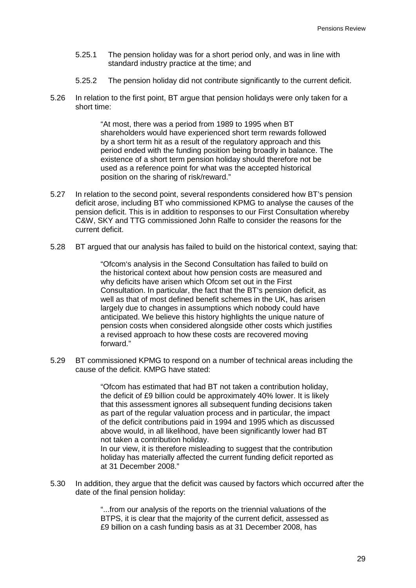- 5.25.1 The pension holiday was for a short period only, and was in line with standard industry practice at the time; and
- 5.25.2 The pension holiday did not contribute significantly to the current deficit.
- 5.26 In relation to the first point, BT argue that pension holidays were only taken for a short time:

"At most, there was a period from 1989 to 1995 when BT shareholders would have experienced short term rewards followed by a short term hit as a result of the regulatory approach and this period ended with the funding position being broadly in balance. The existence of a short term pension holiday should therefore not be used as a reference point for what was the accepted historical position on the sharing of risk/reward."

- 5.27 In relation to the second point, several respondents considered how BT's pension deficit arose, including BT who commissioned KPMG to analyse the causes of the pension deficit. This is in addition to responses to our First Consultation whereby C&W, SKY and TTG commissioned John Ralfe to consider the reasons for the current deficit.
- 5.28 BT argued that our analysis has failed to build on the historical context, saying that:

"Ofcom's analysis in the Second Consultation has failed to build on the historical context about how pension costs are measured and why deficits have arisen which Ofcom set out in the First Consultation. In particular, the fact that the BT's pension deficit, as well as that of most defined benefit schemes in the UK, has arisen largely due to changes in assumptions which nobody could have anticipated. We believe this history highlights the unique nature of pension costs when considered alongside other costs which justifies a revised approach to how these costs are recovered moving forward."

5.29 BT commissioned KPMG to respond on a number of technical areas including the cause of the deficit. KMPG have stated:

> "Ofcom has estimated that had BT not taken a contribution holiday, the deficit of £9 billion could be approximately 40% lower. It is likely that this assessment ignores all subsequent funding decisions taken as part of the regular valuation process and in particular, the impact of the deficit contributions paid in 1994 and 1995 which as discussed above would, in all likelihood, have been significantly lower had BT not taken a contribution holiday.

> In our view, it is therefore misleading to suggest that the contribution holiday has materially affected the current funding deficit reported as at 31 December 2008."

5.30 In addition, they argue that the deficit was caused by factors which occurred after the date of the final pension holiday:

> "...from our analysis of the reports on the triennial valuations of the BTPS, it is clear that the majority of the current deficit, assessed as £9 billion on a cash funding basis as at 31 December 2008, has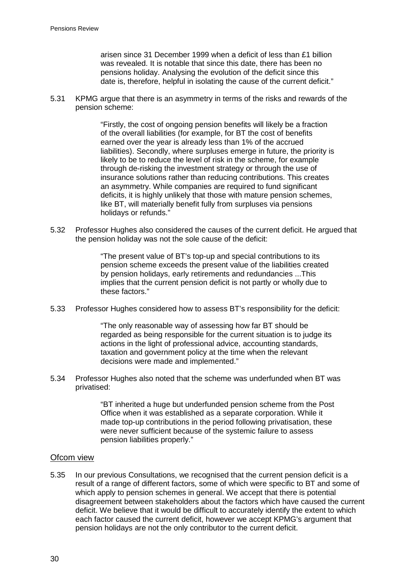arisen since 31 December 1999 when a deficit of less than £1 billion was revealed. It is notable that since this date, there has been no pensions holiday. Analysing the evolution of the deficit since this date is, therefore, helpful in isolating the cause of the current deficit."

5.31 KPMG argue that there is an asymmetry in terms of the risks and rewards of the pension scheme:

> "Firstly, the cost of ongoing pension benefits will likely be a fraction of the overall liabilities (for example, for BT the cost of benefits earned over the year is already less than 1% of the accrued liabilities). Secondly, where surpluses emerge in future, the priority is likely to be to reduce the level of risk in the scheme, for example through de-risking the investment strategy or through the use of insurance solutions rather than reducing contributions. This creates an asymmetry. While companies are required to fund significant deficits, it is highly unlikely that those with mature pension schemes, like BT, will materially benefit fully from surpluses via pensions holidays or refunds."

5.32 Professor Hughes also considered the causes of the current deficit. He argued that the pension holiday was not the sole cause of the deficit:

> "The present value of BT's top-up and special contributions to its pension scheme exceeds the present value of the liabilities created by pension holidays, early retirements and redundancies ...This implies that the current pension deficit is not partly or wholly due to these factors."

5.33 Professor Hughes considered how to assess BT's responsibility for the deficit:

"The only reasonable way of assessing how far BT should be regarded as being responsible for the current situation is to judge its actions in the light of professional advice, accounting standards, taxation and government policy at the time when the relevant decisions were made and implemented."

5.34 Professor Hughes also noted that the scheme was underfunded when BT was privatised:

> "BT inherited a huge but underfunded pension scheme from the Post Office when it was established as a separate corporation. While it made top-up contributions in the period following privatisation, these were never sufficient because of the systemic failure to assess pension liabilities properly."

#### Ofcom view

5.35 In our previous Consultations, we recognised that the current pension deficit is a result of a range of different factors, some of which were specific to BT and some of which apply to pension schemes in general. We accept that there is potential disagreement between stakeholders about the factors which have caused the current deficit. We believe that it would be difficult to accurately identify the extent to which each factor caused the current deficit, however we accept KPMG's argument that pension holidays are not the only contributor to the current deficit.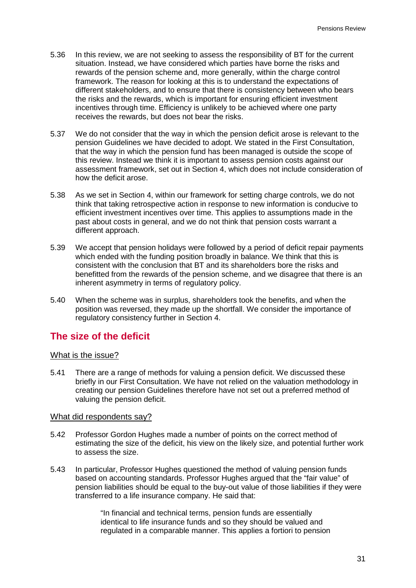- 5.36 In this review, we are not seeking to assess the responsibility of BT for the current situation. Instead, we have considered which parties have borne the risks and rewards of the pension scheme and, more generally, within the charge control framework. The reason for looking at this is to understand the expectations of different stakeholders, and to ensure that there is consistency between who bears the risks and the rewards, which is important for ensuring efficient investment incentives through time. Efficiency is unlikely to be achieved where one party receives the rewards, but does not bear the risks.
- 5.37 We do not consider that the way in which the pension deficit arose is relevant to the pension Guidelines we have decided to adopt. We stated in the First Consultation, that the way in which the pension fund has been managed is outside the scope of this review. Instead we think it is important to assess pension costs against our assessment framework, set out in Section [4,](#page-17-0) which does not include consideration of how the deficit arose.
- 5.38 As we set in Section [4,](#page-17-0) within our framework for setting charge controls, we do not think that taking retrospective action in response to new information is conducive to efficient investment incentives over time. This applies to assumptions made in the past about costs in general, and we do not think that pension costs warrant a different approach.
- 5.39 We accept that pension holidays were followed by a period of deficit repair payments which ended with the funding position broadly in balance. We think that this is consistent with the conclusion that BT and its shareholders bore the risks and benefitted from the rewards of the pension scheme, and we disagree that there is an inherent asymmetry in terms of regulatory policy.
- 5.40 When the scheme was in surplus, shareholders took the benefits, and when the position was reversed, they made up the shortfall. We consider the importance of regulatory consistency further in Section [4.](#page-17-0)

## **The size of the deficit**

#### What is the issue?

5.41 There are a range of methods for valuing a pension deficit. We discussed these briefly in our First Consultation. We have not relied on the valuation methodology in creating our pension Guidelines therefore have not set out a preferred method of valuing the pension deficit.

#### What did respondents say?

- 5.42 Professor Gordon Hughes made a number of points on the correct method of estimating the size of the deficit, his view on the likely size, and potential further work to assess the size.
- 5.43 In particular, Professor Hughes questioned the method of valuing pension funds based on accounting standards. Professor Hughes argued that the "fair value" of pension liabilities should be equal to the buy-out value of those liabilities if they were transferred to a life insurance company. He said that:

"In financial and technical terms, pension funds are essentially identical to life insurance funds and so they should be valued and regulated in a comparable manner. This applies a fortiori to pension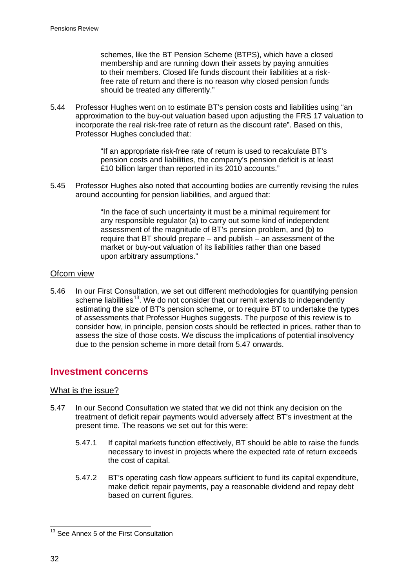schemes, like the BT Pension Scheme (BTPS), which have a closed membership and are running down their assets by paying annuities to their members. Closed life funds discount their liabilities at a riskfree rate of return and there is no reason why closed pension funds should be treated any differently."

5.44 Professor Hughes went on to estimate BT's pension costs and liabilities using "an approximation to the buy-out valuation based upon adjusting the FRS 17 valuation to incorporate the real risk-free rate of return as the discount rate". Based on this, Professor Hughes concluded that:

> "If an appropriate risk-free rate of return is used to recalculate BT's pension costs and liabilities, the company's pension deficit is at least £10 billion larger than reported in its 2010 accounts."

5.45 Professor Hughes also noted that accounting bodies are currently revising the rules around accounting for pension liabilities, and argued that:

> "In the face of such uncertainty it must be a minimal requirement for any responsible regulator (a) to carry out some kind of independent assessment of the magnitude of BT's pension problem, and (b) to require that BT should prepare – and publish – an assessment of the market or buy-out valuation of its liabilities rather than one based upon arbitrary assumptions."

## Ofcom view

5.46 In our First Consultation, we set out different methodologies for quantifying pension scheme liabilities<sup>[13](#page-34-1)</sup>. We do not consider that our remit extends to independently dueto the pension scheme in more detail from 5.47 onwards. estimating the size of BT's pension scheme, or to require BT to undertake the types of assessments that Professor Hughes suggests. The purpose of this review is to consider how, in principle, pension costs should be reflected in prices, rather than to assess the size of those costs. We discuss the implications of potential insolvency

## **Investment concerns**

#### What is the issue?

- <span id="page-34-0"></span>5.47 In our Second Consultation we stated that we did not think any decision on the treatment of deficit repair payments would adversely affect BT's investment at the present time. The reasons we set out for this were:
	- 5.47.1 If capital markets function effectively, BT should be able to raise the funds necessary to invest in projects where the expected rate of return exceeds the cost of capital.
	- 5.47.2 BT's operating cash flow appears sufficient to fund its capital expenditure, make deficit repair payments, pay a reasonable dividend and repay debt based on current figures.

<span id="page-34-1"></span><sup>&</sup>lt;sup>13</sup> See Annex 5 of the First Consultation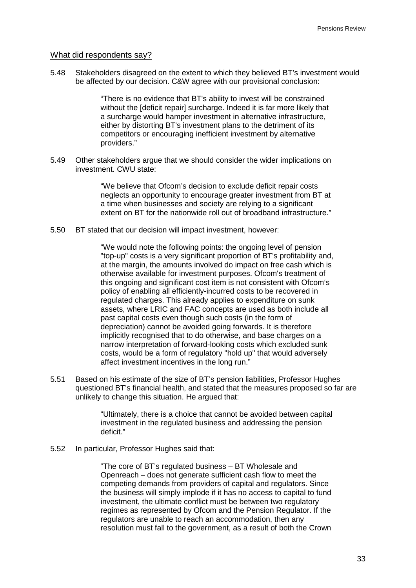#### What did respondents say?

5.48 Stakeholders disagreed on the extent to which they believed BT's investment would be affected by our decision. C&W agree with our provisional conclusion:

> "There is no evidence that BT's ability to invest will be constrained without the [deficit repair] surcharge. Indeed it is far more likely that a surcharge would hamper investment in alternative infrastructure, either by distorting BT's investment plans to the detriment of its competitors or encouraging inefficient investment by alternative providers."

5.49 Other stakeholders argue that we should consider the wider implications on investment. CWU state:

> "We believe that Ofcom's decision to exclude deficit repair costs neglects an opportunity to encourage greater investment from BT at a time when businesses and society are relying to a significant extent on BT for the nationwide roll out of broadband infrastructure."

5.50 BT stated that our decision will impact investment, however:

"We would note the following points: the ongoing level of pension "top-up" costs is a very significant proportion of BT's profitability and, at the margin, the amounts involved do impact on free cash which is otherwise available for investment purposes. Ofcom's treatment of this ongoing and significant cost item is not consistent with Ofcom's policy of enabling all efficiently-incurred costs to be recovered in regulated charges. This already applies to expenditure on sunk assets, where LRIC and FAC concepts are used as both include all past capital costs even though such costs (in the form of depreciation) cannot be avoided going forwards. It is therefore implicitly recognised that to do otherwise, and base charges on a narrow interpretation of forward-looking costs which excluded sunk costs, would be a form of regulatory "hold up" that would adversely affect investment incentives in the long run."

5.51 Based on his estimate of the size of BT's pension liabilities, Professor Hughes questioned BT's financial health, and stated that the measures proposed so far are unlikely to change this situation. He argued that:

> "Ultimately, there is a choice that cannot be avoided between capital investment in the regulated business and addressing the pension deficit."

5.52 In particular, Professor Hughes said that:

"The core of BT's regulated business – BT Wholesale and Openreach – does not generate sufficient cash flow to meet the competing demands from providers of capital and regulators. Since the business will simply implode if it has no access to capital to fund investment, the ultimate conflict must be between two regulatory regimes as represented by Ofcom and the Pension Regulator. If the regulators are unable to reach an accommodation, then any resolution must fall to the government, as a result of both the Crown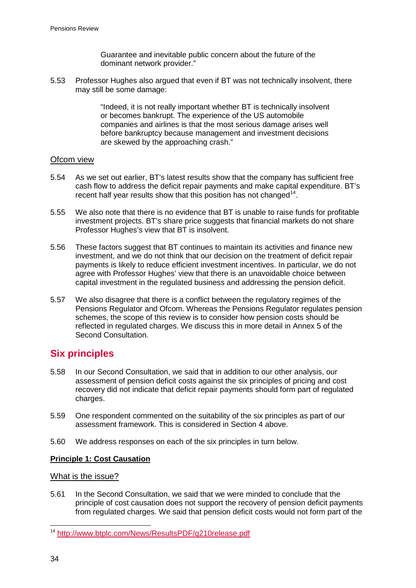Guarantee and inevitable public concern about the future of the dominant network provider."

5.53 Professor Hughes also argued that even if BT was not technically insolvent, there may still be some damage:

> "Indeed, it is not really important whether BT is technically insolvent or becomes bankrupt. The experience of the US automobile companies and airlines is that the most serious damage arises well before bankruptcy because management and investment decisions are skewed by the approaching crash."

#### Ofcom view

- 5.54 As we set out earlier, BT's latest results show that the company has sufficient free cash flow to address the deficit repair payments and make capital expenditure. BT's recent half year results show that this position has not changed<sup>[14](#page-36-0)</sup>.
- 5.55 We also note that there is no evidence that BT is unable to raise funds for profitable investment projects. BT's share price suggests that financial markets do not share Professor Hughes's view that BT is insolvent.
- 5.56 These factors suggest that BT continues to maintain its activities and finance new investment, and we do not think that our decision on the treatment of deficit repair payments is likely to reduce efficient investment incentives. In particular, we do not agree with Professor Hughes' view that there is an unavoidable choice between capital investment in the regulated business and addressing the pension deficit.
- 5.57 We also disagree that there is a conflict between the regulatory regimes of the Pensions Regulator and Ofcom. Whereas the Pensions Regulator regulates pension schemes, the scope of this review is to consider how pension costs should be reflected in regulated charges. We discuss this in more detail in Annex 5 of the Second Consultation.

# **Six principles**

- 5.58 In our Second Consultation, we said that in addition to our other analysis, our assessment of pension deficit costs against the six principles of pricing and cost recovery did not indicate that deficit repair payments should form part of regulated charges.
- 5.59 One respondent commented on the suitability of the six principles as part of our assessment framework. This is considered in Section [4](#page-17-0) above.
- 5.60 We address responses on each of the six principles in turn below.

## **Principle 1: Cost Causation**

What is the issue?

5.61 In the Second Consultation, we said that we were minded to conclude that the principle of cost causation does not support the recovery of pension deficit payments from regulated charges. We said that pension deficit costs would not form part of the

<span id="page-36-0"></span> <sup>14</sup> <http://www.btplc.com/News/ResultsPDF/q210release.pdf>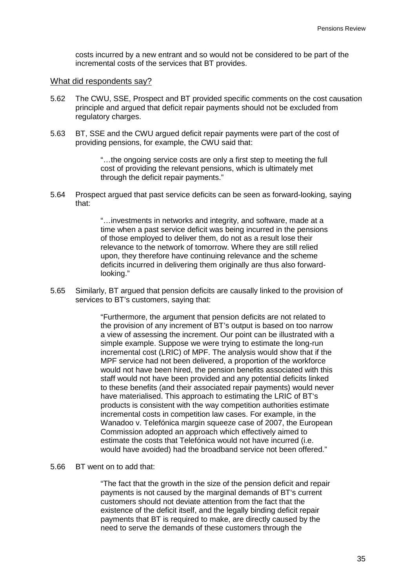costs incurred by a new entrant and so would not be considered to be part of the incremental costs of the services that BT provides.

#### What did respondents say?

- 5.62 The CWU, SSE, Prospect and BT provided specific comments on the cost causation principle and argued that deficit repair payments should not be excluded from regulatory charges.
- 5.63 BT, SSE and the CWU argued deficit repair payments were part of the cost of providing pensions, for example, the CWU said that:

"…the ongoing service costs are only a first step to meeting the full cost of providing the relevant pensions, which is ultimately met through the deficit repair payments."

5.64 Prospect argued that past service deficits can be seen as forward-looking, saying that:

> "…investments in networks and integrity, and software, made at a time when a past service deficit was being incurred in the pensions of those employed to deliver them, do not as a result lose their relevance to the network of tomorrow. Where they are still relied upon, they therefore have continuing relevance and the scheme deficits incurred in delivering them originally are thus also forwardlooking."

5.65 Similarly, BT argued that pension deficits are causally linked to the provision of services to BT's customers, saying that:

> "Furthermore, the argument that pension deficits are not related to the provision of any increment of BT's output is based on too narrow a view of assessing the increment. Our point can be illustrated with a simple example. Suppose we were trying to estimate the long-run incremental cost (LRIC) of MPF. The analysis would show that if the MPF service had not been delivered, a proportion of the workforce would not have been hired, the pension benefits associated with this staff would not have been provided and any potential deficits linked to these benefits (and their associated repair payments) would never have materialised. This approach to estimating the LRIC of BT's products is consistent with the way competition authorities estimate incremental costs in competition law cases. For example, in the Wanadoo v. Telefónica margin squeeze case of 2007, the European Commission adopted an approach which effectively aimed to estimate the costs that Telefónica would not have incurred (i.e. would have avoided) had the broadband service not been offered."

#### 5.66 BT went on to add that:

"The fact that the growth in the size of the pension deficit and repair payments is not caused by the marginal demands of BT's current customers should not deviate attention from the fact that the existence of the deficit itself, and the legally binding deficit repair payments that BT is required to make, are directly caused by the need to serve the demands of these customers through the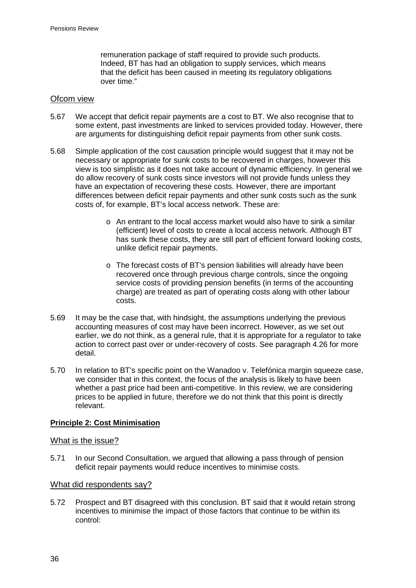remuneration package of staff required to provide such products. Indeed, BT has had an obligation to supply services, which means that the deficit has been caused in meeting its regulatory obligations over time."

#### Ofcom view

- 5.67 We accept that deficit repair payments are a cost to BT. We also recognise that to some extent, past investments are linked to services provided today. However, there are arguments for distinguishing deficit repair payments from other sunk costs.
- 5.68 Simple application of the cost causation principle would suggest that it may not be necessary or appropriate for sunk costs to be recovered in charges, however this view is too simplistic as it does not take account of dynamic efficiency. In general we do allow recovery of sunk costs since investors will not provide funds unless they have an expectation of recovering these costs. However, there are important differences between deficit repair payments and other sunk costs such as the sunk costs of, for example, BT's local access network. These are:
	- $\circ$  An entrant to the local access market would also have to sink a similar (efficient) level of costs to create a local access network. Although BT has sunk these costs, they are still part of efficient forward looking costs, unlike deficit repair payments.
	- o The forecast costs of BT's pension liabilities will already have been recovered once through previous charge controls, since the ongoing service costs of providing pension benefits (in terms of the accounting charge) are treated as part of operating costs along with other labour costs.
- 5.69 It may be the case that, with hindsight, the assumptions underlying the previous accounting measures of cost may have been incorrect. However, as we set out earlier, we do not think, as a general rule, that it is appropriate for a regulator to take action to correct past over or under-recovery of costs. See paragraph [4.26](#page-21-0) for more detail.
- 5.70 In relation to BT's specific point on the Wanadoo v. Telefónica margin squeeze case, we consider that in this context, the focus of the analysis is likely to have been whether a past price had been anti-competitive. In this review, we are considering prices to be applied in future, therefore we do not think that this point is directly relevant.

#### **Principle 2: Cost Minimisation**

#### What is the issue?

5.71 In our Second Consultation, we argued that allowing a pass through of pension deficit repair payments would reduce incentives to minimise costs.

#### What did respondents say?

5.72 Prospect and BT disagreed with this conclusion. BT said that it would retain strong incentives to minimise the impact of those factors that continue to be within its control: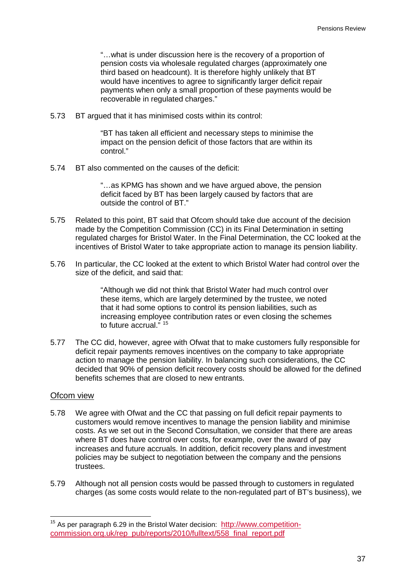"…what is under discussion here is the recovery of a proportion of pension costs via wholesale regulated charges (approximately one third based on headcount). It is therefore highly unlikely that BT would have incentives to agree to significantly larger deficit repair payments when only a small proportion of these payments would be recoverable in regulated charges."

5.73 BT argued that it has minimised costs within its control:

"BT has taken all efficient and necessary steps to minimise the impact on the pension deficit of those factors that are within its control."

5.74 BT also commented on the causes of the deficit:

"…as KPMG has shown and we have argued above, the pension deficit faced by BT has been largely caused by factors that are outside the control of BT."

- 5.75 Related to this point, BT said that Ofcom should take due account of the decision made by the Competition Commission (CC) in its Final Determination in setting regulated charges for Bristol Water. In the Final Determination, the CC looked at the incentives of Bristol Water to take appropriate action to manage its pension liability.
- 5.76 In particular, the CC looked at the extent to which Bristol Water had control over the size of the deficit, and said that:

"Although we did not think that Bristol Water had much control over these items, which are largely determined by the trustee, we noted that it had some options to control its pension liabilities, such as increasing employee contribution rates or even closing the schemes to future accrual." [15](#page-39-0)

5.77 The CC did, however, agree with Ofwat that to make customers fully responsible for deficit repair payments removes incentives on the company to take appropriate action to manage the pension liability. In balancing such considerations, the CC decided that 90% of pension deficit recovery costs should be allowed for the defined benefits schemes that are closed to new entrants.

#### Ofcom view

- 5.78 We agree with Ofwat and the CC that passing on full deficit repair payments to customers would remove incentives to manage the pension liability and minimise costs. As we set out in the Second Consultation, we consider that there are areas where BT does have control over costs, for example, over the award of pay increases and future accruals. In addition, deficit recovery plans and investment policies may be subject to negotiation between the company and the pensions trustees.
- 5.79 Although not all pension costs would be passed through to customers in regulated charges (as some costs would relate to the non-regulated part of BT's business), we

<span id="page-39-0"></span> $15$  As per paragraph 6.29 in the Bristol Water decision: [http://www.competition](http://www.competition-commission.org.uk/rep_pub/reports/2010/fulltext/558_final_report.pdf)[commission.org.uk/rep\\_pub/reports/2010/fulltext/558\\_final\\_report.pdf](http://www.competition-commission.org.uk/rep_pub/reports/2010/fulltext/558_final_report.pdf)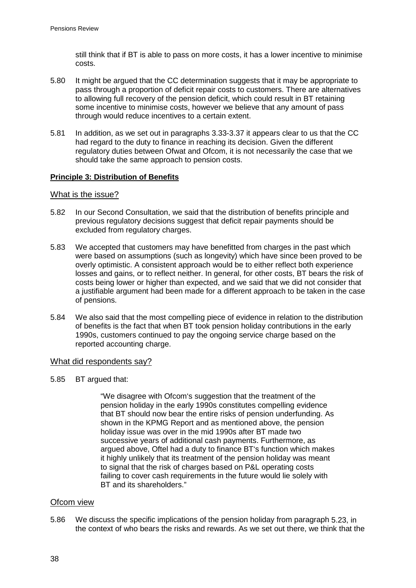still think that if BT is able to pass on more costs, it has a lower incentive to minimise costs.

- 5.80 It might be argued that the CC determination suggests that it may be appropriate to pass through a proportion of deficit repair costs to customers. There are alternatives to allowing full recovery of the pension deficit, which could result in BT retaining some incentive to minimise costs, however we believe that any amount of pass through would reduce incentives to a certain extent.
- 5.81 In addition, as we set out in paragraphs [3.33-](#page-13-1)[3.37](#page-14-0) it appears clear to us that the CC had regard to the duty to finance in reaching its decision. Given the different regulatory duties between Ofwat and Ofcom, it is not necessarily the case that we should take the same approach to pension costs.

## **Principle 3: Distribution of Benefits**

### What is the issue?

- 5.82 In our Second Consultation, we said that the distribution of benefits principle and previous regulatory decisions suggest that deficit repair payments should be excluded from regulatory charges.
- 5.83 We accepted that customers may have benefitted from charges in the past which were based on assumptions (such as longevity) which have since been proved to be overly optimistic. A consistent approach would be to either reflect both experience losses and gains, or to reflect neither. In general, for other costs, BT bears the risk of costs being lower or higher than expected, and we said that we did not consider that a justifiable argument had been made for a different approach to be taken in the case of pensions.
- 5.84 We also said that the most compelling piece of evidence in relation to the distribution of benefits is the fact that when BT took pension holiday contributions in the early 1990s, customers continued to pay the ongoing service charge based on the reported accounting charge.

#### What did respondents say?

5.85 BT argued that:

"We disagree with Ofcom's suggestion that the treatment of the pension holiday in the early 1990s constitutes compelling evidence that BT should now bear the entire risks of pension underfunding. As shown in the KPMG Report and as mentioned above, the pension holiday issue was over in the mid 1990s after BT made two successive years of additional cash payments. Furthermore, as argued above, Oftel had a duty to finance BT's function which makes it highly unlikely that its treatment of the pension holiday was meant to signal that the risk of charges based on P&L operating costs failing to cover cash requirements in the future would lie solely with BT and its shareholders."

#### Ofcom view

5.86 We discuss the specific implications of the pension holiday from paragraph [5.23,](#page-30-0) in the context of who bears the risks and rewards. As we set out there, we think that the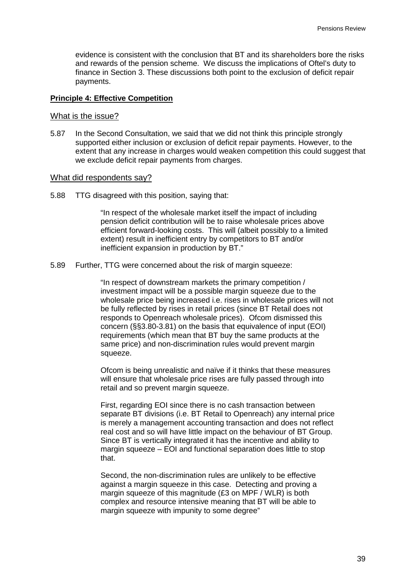evidence is consistent with the conclusion that BT and its shareholders bore the risks and rewards of the pension scheme. We discuss the implications of Oftel's duty to finance in Section [3.](#page-8-0) These discussions both point to the exclusion of deficit repair payments.

#### **Principle 4: Effective Competition**

#### What is the issue?

5.87 In the Second Consultation, we said that we did not think this principle strongly supported either inclusion or exclusion of deficit repair payments. However, to the extent that any increase in charges would weaken competition this could suggest that we exclude deficit repair payments from charges.

#### What did respondents say?

5.88 TTG disagreed with this position, saying that:

"In respect of the wholesale market itself the impact of including pension deficit contribution will be to raise wholesale prices above efficient forward-looking costs. This will (albeit possibly to a limited extent) result in inefficient entry by competitors to BT and/or inefficient expansion in production by BT."

5.89 Further, TTG were concerned about the risk of margin squeeze:

"In respect of downstream markets the primary competition / investment impact will be a possible margin squeeze due to the wholesale price being increased i.e. rises in wholesale prices will not be fully reflected by rises in retail prices (since BT Retail does not responds to Openreach wholesale prices). Ofcom dismissed this concern (§§3.80-3.81) on the basis that equivalence of input (EOI) requirements (which mean that BT buy the same products at the same price) and non-discrimination rules would prevent margin squeeze.

Ofcom is being unrealistic and naïve if it thinks that these measures will ensure that wholesale price rises are fully passed through into retail and so prevent margin squeeze.

First, regarding EOI since there is no cash transaction between separate BT divisions (i.e. BT Retail to Openreach) any internal price is merely a management accounting transaction and does not reflect real cost and so will have little impact on the behaviour of BT Group. Since BT is vertically integrated it has the incentive and ability to margin squeeze – EOI and functional separation does little to stop that.

Second, the non-discrimination rules are unlikely to be effective against a margin squeeze in this case. Detecting and proving a margin squeeze of this magnitude (£3 on MPF / WLR) is both complex and resource intensive meaning that BT will be able to margin squeeze with impunity to some degree"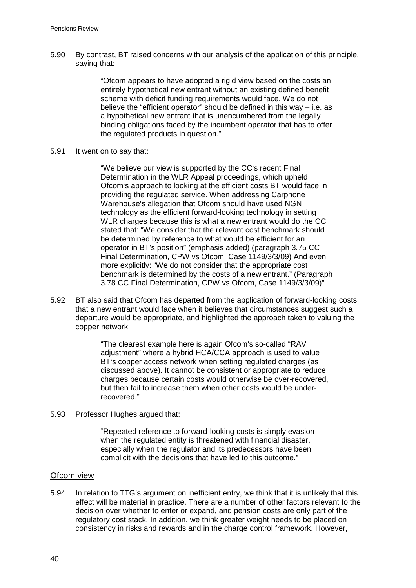5.90 By contrast, BT raised concerns with our analysis of the application of this principle, saying that:

> "Ofcom appears to have adopted a rigid view based on the costs an entirely hypothetical new entrant without an existing defined benefit scheme with deficit funding requirements would face. We do not believe the "efficient operator" should be defined in this way – i.e. as a hypothetical new entrant that is unencumbered from the legally binding obligations faced by the incumbent operator that has to offer the regulated products in question."

5.91 It went on to say that:

"We believe our view is supported by the CC's recent Final Determination in the WLR Appeal proceedings, which upheld Ofcom's approach to looking at the efficient costs BT would face in providing the regulated service. When addressing Carphone Warehouse's allegation that Ofcom should have used NGN technology as the efficient forward-looking technology in setting WLR charges because this is what a new entrant would do the CC stated that: "We consider that the relevant cost benchmark should be determined by reference to what would be efficient for an operator in BT's position" (emphasis added) (paragraph 3.75 CC Final Determination, CPW vs Ofcom, Case 1149/3/3/09) And even more explicitly: "We do not consider that the appropriate cost benchmark is determined by the costs of a new entrant." (Paragraph 3.78 CC Final Determination, CPW vs Ofcom, Case 1149/3/3/09)"

5.92 BT also said that Ofcom has departed from the application of forward-looking costs that a new entrant would face when it believes that circumstances suggest such a departure would be appropriate, and highlighted the approach taken to valuing the copper network:

> "The clearest example here is again Ofcom's so-called "RAV adjustment" where a hybrid HCA/CCA approach is used to value BT's copper access network when setting regulated charges (as discussed above). It cannot be consistent or appropriate to reduce charges because certain costs would otherwise be over-recovered, but then fail to increase them when other costs would be underrecovered."

5.93 Professor Hughes argued that:

"Repeated reference to forward-looking costs is simply evasion when the regulated entity is threatened with financial disaster, especially when the regulator and its predecessors have been complicit with the decisions that have led to this outcome."

#### Ofcom view

5.94 In relation to TTG's argument on inefficient entry, we think that it is unlikely that this effect will be material in practice. There are a number of other factors relevant to the decision over whether to enter or expand, and pension costs are only part of the regulatory cost stack. In addition, we think greater weight needs to be placed on consistency in risks and rewards and in the charge control framework. However,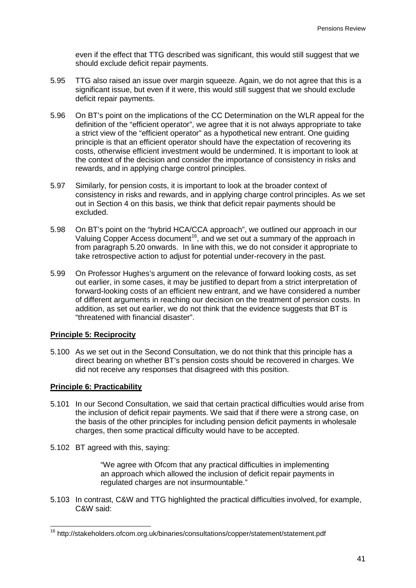even if the effect that TTG described was significant, this would still suggest that we should exclude deficit repair payments.

- 5.95 TTG also raised an issue over margin squeeze. Again, we do not agree that this is a significant issue, but even if it were, this would still suggest that we should exclude deficit repair payments.
- 5.96 On BT's point on the implications of the CC Determination on the WLR appeal for the definition of the "efficient operator", we agree that it is not always appropriate to take a strict view of the "efficient operator" as a hypothetical new entrant. One guiding principle is that an efficient operator should have the expectation of recovering its costs, otherwise efficient investment would be undermined. It is important to look at the context of the decision and consider the importance of consistency in risks and rewards, and in applying charge control principles.
- 5.97 Similarly, for pension costs, it is important to look at the broader context of consistency in risks and rewards, and in applying charge control principles. As we set out in Section [4](#page-17-0) on this basis, we think that deficit repair payments should be excluded.
- 5.98 On BT's point on the "hybrid HCA/CCA approach", we outlined our approach in our Valuing Copper Access document<sup>[16](#page-43-0)</sup>, and we set out a summary of the approach in fromparagraph 5.20 onwards. In line with this, we do not consider it appropriate to take retrospective action to adjust for potential under-recovery in the past.
- 5.99 On Professor Hughes's argument on the relevance of forward looking costs, as set out earlier, in some cases, it may be justified to depart from a strict interpretation of forward-looking costs of an efficient new entrant, and we have considered a number of different arguments in reaching our decision on the treatment of pension costs. In addition, as set out earlier, we do not think that the evidence suggests that BT is "threatened with financial disaster".

#### **Principle 5: Reciprocity**

5.100 As we set out in the Second Consultation, we do not think that this principle has a direct bearing on whether BT's pension costs should be recovered in charges. We did not receive any responses that disagreed with this position.

#### **Principle 6: Practicability**

- 5.101 In our Second Consultation, we said that certain practical difficulties would arise from the inclusion of deficit repair payments. We said that if there were a strong case, on the basis of the other principles for including pension deficit payments in wholesale charges, then some practical difficulty would have to be accepted.
- 5.102 BT agreed with this, saying:

"We agree with Ofcom that any practical difficulties in implementing an approach which allowed the inclusion of deficit repair payments in regulated charges are not insurmountable."

5.103 In contrast, C&W and TTG highlighted the practical difficulties involved, for example, C&W said:

<span id="page-43-0"></span> <sup>16</sup> http://stakeholders.ofcom.org.uk/binaries/consultations/copper/statement/statement.pdf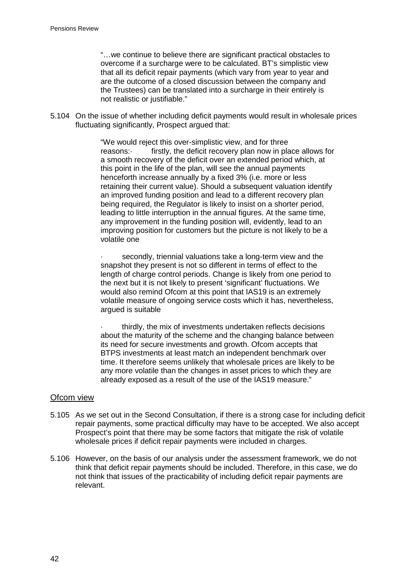"…we continue to believe there are significant practical obstacles to overcome if a surcharge were to be calculated. BT's simplistic view that all its deficit repair payments (which vary from year to year and are the outcome of a closed discussion between the company and the Trustees) can be translated into a surcharge in their entirely is not realistic or justifiable."

5.104 On the issue of whether including deficit payments would result in wholesale prices fluctuating significantly, Prospect argued that:

> "We would reject this over-simplistic view, and for three reasons: firstly, the deficit recovery plan now in place allows for a smooth recovery of the deficit over an extended period which, at this point in the life of the plan, will see the annual payments henceforth increase annually by a fixed 3% (i.e. more or less retaining their current value). Should a subsequent valuation identify an improved funding position and lead to a different recovery plan being required, the Regulator is likely to insist on a shorter period, leading to little interruption in the annual figures. At the same time, any improvement in the funding position will, evidently, lead to an improving position for customers but the picture is not likely to be a volatile one

> secondly, triennial valuations take a long-term view and the snapshot they present is not so different in terms of effect to the length of charge control periods. Change is likely from one period to the next but it is not likely to present 'significant' fluctuations. We would also remind Ofcom at this point that IAS19 is an extremely volatile measure of ongoing service costs which it has, nevertheless, argued is suitable

> thirdly, the mix of investments undertaken reflects decisions about the maturity of the scheme and the changing balance between its need for secure investments and growth. Ofcom accepts that BTPS investments at least match an independent benchmark over time. It therefore seems unlikely that wholesale prices are likely to be any more volatile than the changes in asset prices to which they are already exposed as a result of the use of the IAS19 measure."

#### Ofcom view

- 5.105 As we set out in the Second Consultation, if there is a strong case for including deficit repair payments, some practical difficulty may have to be accepted. We also accept Prospect's point that there may be some factors that mitigate the risk of volatile wholesale prices if deficit repair payments were included in charges.
- 5.106 However, on the basis of our analysis under the assessment framework, we do not think that deficit repair payments should be included. Therefore, in this case, we do not think that issues of the practicability of including deficit repair payments are relevant.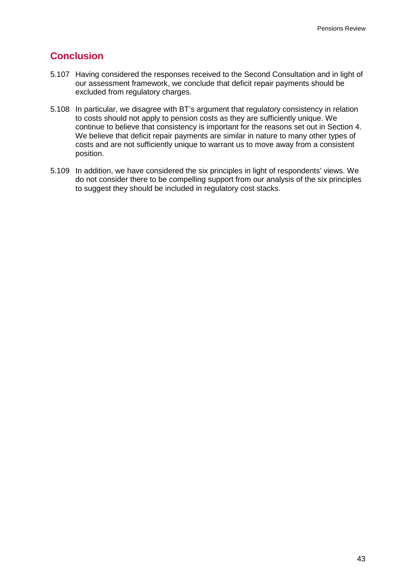# **Conclusion**

- 5.107 Having considered the responses received to the Second Consultation and in light of our assessment framework, we conclude that deficit repair payments should be excluded from regulatory charges.
- 5.108 In particular, we disagree with BT's argument that regulatory consistency in relation to costs should not apply to pension costs as they are sufficiently unique. We continue to believe that consistency is important for the reasons set out in Section [4.](#page-17-0) We believe that deficit repair payments are similar in nature to many other types of costs and are not sufficiently unique to warrant us to move away from a consistent position.
- 5.109 In addition, we have considered the six principles in light of respondents' views. We do not consider there to be compelling support from our analysis of the six principles to suggest they should be included in regulatory cost stacks.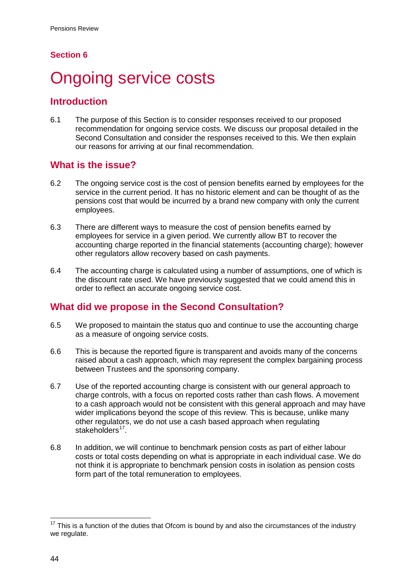## **Section 6**

# <span id="page-46-0"></span>**Ongoing service costs**

## **Introduction**

6.1 The purpose of this Section is to consider responses received to our proposed recommendation for ongoing service costs. We discuss our proposal detailed in the Second Consultation and consider the responses received to this. We then explain our reasons for arriving at our final recommendation.

# **What is the issue?**

- 6.2 The ongoing service cost is the cost of pension benefits earned by employees for the service in the current period. It has no historic element and can be thought of as the pensions cost that would be incurred by a brand new company with only the current employees.
- 6.3 There are different ways to measure the cost of pension benefits earned by employees for service in a given period. We currently allow BT to recover the accounting charge reported in the financial statements (accounting charge); however other regulators allow recovery based on cash payments.
- 6.4 The accounting charge is calculated using a number of assumptions, one of which is the discount rate used. We have previously suggested that we could amend this in order to reflect an accurate ongoing service cost.

# **What did we propose in the Second Consultation?**

- 6.5 We proposed to maintain the status quo and continue to use the accounting charge as a measure of ongoing service costs.
- 6.6 This is because the reported figure is transparent and avoids many of the concerns raised about a cash approach, which may represent the complex bargaining process between Trustees and the sponsoring company.
- 6.7 Use of the reported accounting charge is consistent with our general approach to charge controls, with a focus on reported costs rather than cash flows. A movement to a cash approach would not be consistent with this general approach and may have wider implications beyond the scope of this review. This is because, unlike many other regulators, we do not use a cash based approach when regulating stakeholders<sup>[17](#page-46-1)</sup>.
- 6.8 In addition, we will continue to benchmark pension costs as part of either labour costs or total costs depending on what is appropriate in each individual case. We do not think it is appropriate to benchmark pension costs in isolation as pension costs form part of the total remuneration to employees.

<span id="page-46-1"></span> $17$  This is a function of the duties that Ofcom is bound by and also the circumstances of the industry we regulate.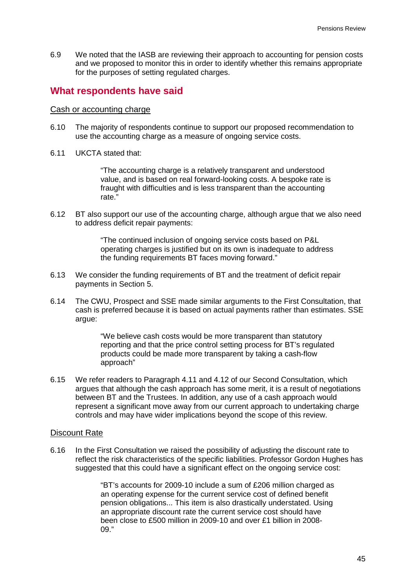6.9 We noted that the IASB are reviewing their approach to accounting for pension costs and we proposed to monitor this in order to identify whether this remains appropriate for the purposes of setting regulated charges.

## **What respondents have said**

#### Cash or accounting charge

- 6.10 The majority of respondents continue to support our proposed recommendation to use the accounting charge as a measure of ongoing service costs.
- 6.11 UKCTA stated that:

"The accounting charge is a relatively transparent and understood value, and is based on real forward-looking costs. A bespoke rate is fraught with difficulties and is less transparent than the accounting rate."

6.12 BT also support our use of the accounting charge, although argue that we also need to address deficit repair payments:

> "The continued inclusion of ongoing service costs based on P&L operating charges is justified but on its own is inadequate to address the funding requirements BT faces moving forward."

- 6.13 We consider the funding requirements of BT and the treatment of deficit repair payments in Section [5.](#page-25-0)
- 6.14 The CWU, Prospect and SSE made similar arguments to the First Consultation, that cash is preferred because it is based on actual payments rather than estimates. SSE argue:

"We believe cash costs would be more transparent than statutory reporting and that the price control setting process for BT's regulated products could be made more transparent by taking a cash-flow approach"

6.15 We refer readers to Paragraph 4.11 and 4.12 of our Second Consultation, which argues that although the cash approach has some merit, it is a result of negotiations between BT and the Trustees. In addition, any use of a cash approach would represent a significant move away from our current approach to undertaking charge controls and may have wider implications beyond the scope of this review.

#### Discount Rate

6.16 In the First Consultation we raised the possibility of adjusting the discount rate to reflect the risk characteristics of the specific liabilities. Professor Gordon Hughes has suggested that this could have a significant effect on the ongoing service cost:

> "BT's accounts for 2009-10 include a sum of £206 million charged as an operating expense for the current service cost of defined benefit pension obligations... This item is also drastically understated. Using an appropriate discount rate the current service cost should have been close to £500 million in 2009-10 and over £1 billion in 2008- 09."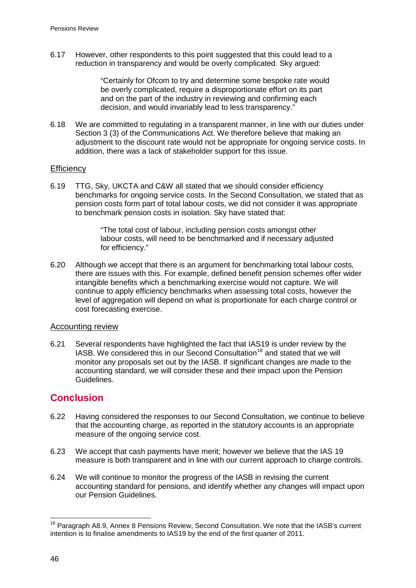6.17 However, other respondents to this point suggested that this could lead to a reduction in transparency and would be overly complicated. Sky argued:

> "Certainly for Ofcom to try and determine some bespoke rate would be overly complicated, require a disproportionate effort on its part and on the part of the industry in reviewing and confirming each decision, and would invariably lead to less transparency."

6.18 We are committed to regulating in a transparent manner, in line with our duties under Section 3 (3) of the Communications Act. We therefore believe that making an adjustment to the discount rate would not be appropriate for ongoing service costs. In addition, there was a lack of stakeholder support for this issue.

#### **Efficiency**

6.19 TTG, Sky, UKCTA and C&W all stated that we should consider efficiency benchmarks for ongoing service costs. In the Second Consultation, we stated that as pension costs form part of total labour costs, we did not consider it was appropriate to benchmark pension costs in isolation. Sky have stated that:

> "The total cost of labour, including pension costs amongst other labour costs, will need to be benchmarked and if necessary adjusted for efficiency."

6.20 Although we accept that there is an argument for benchmarking total labour costs, there are issues with this. For example, defined benefit pension schemes offer wider intangible benefits which a benchmarking exercise would not capture. We will continue to apply efficiency benchmarks when assessing total costs, however the level of aggregation will depend on what is proportionate for each charge control or cost forecasting exercise.

#### Accounting review

6.21 Several respondents have highlighted the fact that IAS19 is under review by the IASB. We considered this in our Second Consultation<sup>[18](#page-48-0)</sup> and stated that we will monitor any proposals set out by the IASB. If significant changes are made to the accounting standard, we will consider these and their impact upon the Pension Guidelines.

## **Conclusion**

- 6.22 Having considered the responses to our Second Consultation, we continue to believe that the accounting charge, as reported in the statutory accounts is an appropriate measure of the ongoing service cost.
- 6.23 We accept that cash payments have merit; however we believe that the IAS 19 measure is both transparent and in line with our current approach to charge controls.
- 6.24 We will continue to monitor the progress of the IASB in revising the current accounting standard for pensions, and identify whether any changes will impact upon our Pension Guidelines.

<span id="page-48-0"></span><sup>&</sup>lt;sup>18</sup> Paragraph A8.9, Annex 8 Pensions Review, Second Consultation. We note that the IASB's current intention is to finalise amendments to IAS19 by the end of the first quarter of 2011.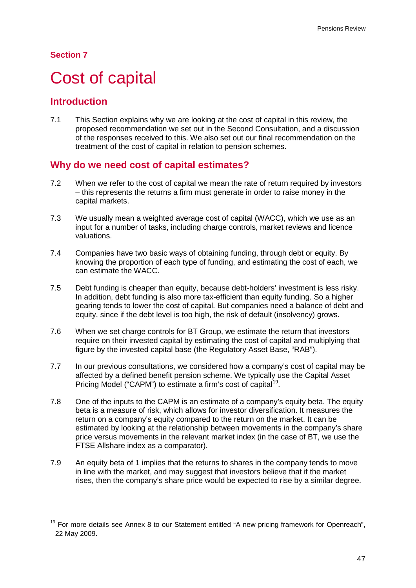## **Section 7**

# <span id="page-49-0"></span>Cost of capital

## **Introduction**

7.1 This Section explains why we are looking at the cost of capital in this review, the proposed recommendation we set out in the Second Consultation, and a discussion of the responses received to this. We also set out our final recommendation on the treatment of the cost of capital in relation to pension schemes.

## **Why do we need cost of capital estimates?**

- 7.2 When we refer to the cost of capital we mean the rate of return required by investors – this represents the returns a firm must generate in order to raise money in the capital markets.
- 7.3 We usually mean a weighted average cost of capital (WACC), which we use as an input for a number of tasks, including charge controls, market reviews and licence valuations.
- 7.4 Companies have two basic ways of obtaining funding, through debt or equity. By knowing the proportion of each type of funding, and estimating the cost of each, we can estimate the WACC.
- 7.5 Debt funding is cheaper than equity, because debt-holders' investment is less risky. In addition, debt funding is also more tax-efficient than equity funding. So a higher gearing tends to lower the cost of capital. But companies need a balance of debt and equity, since if the debt level is too high, the risk of default (insolvency) grows.
- 7.6 When we set charge controls for BT Group, we estimate the return that investors require on their invested capital by estimating the cost of capital and multiplying that figure by the invested capital base (the Regulatory Asset Base, "RAB").
- 7.7 In our previous consultations, we considered how a company's cost of capital may be affected by a defined benefit pension scheme. We typically use the Capital Asset Pricing Model ("CAPM") to estimate a firm's cost of capital<sup>[19](#page-49-1)</sup>.
- 7.8 One of the inputs to the CAPM is an estimate of a company's equity beta. The equity beta is a measure of risk, which allows for investor diversification. It measures the return on a company's equity compared to the return on the market. It can be estimated by looking at the relationship between movements in the company's share price versus movements in the relevant market index (in the case of BT, we use the FTSE Allshare index as a comparator).
- 7.9 An equity beta of 1 implies that the returns to shares in the company tends to move in line with the market, and may suggest that investors believe that if the market rises, then the company's share price would be expected to rise by a similar degree.

<span id="page-49-1"></span><sup>&</sup>lt;sup>19</sup> For more details see Annex 8 to our Statement entitled "A new pricing framework for Openreach", 22 May 2009.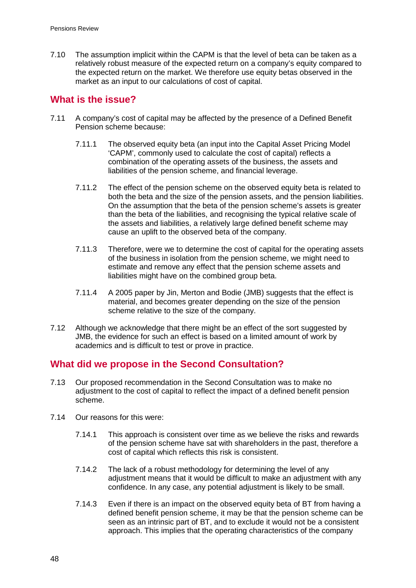7.10 The assumption implicit within the CAPM is that the level of beta can be taken as a relatively robust measure of the expected return on a company's equity compared to the expected return on the market. We therefore use equity betas observed in the market as an input to our calculations of cost of capital.

## **What is the issue?**

- 7.11 A company's cost of capital may be affected by the presence of a Defined Benefit Pension scheme because:
	- 7.11.1 The observed equity beta (an input into the Capital Asset Pricing Model 'CAPM', commonly used to calculate the cost of capital) reflects a combination of the operating assets of the business, the assets and liabilities of the pension scheme, and financial leverage.
	- 7.11.2 The effect of the pension scheme on the observed equity beta is related to both the beta and the size of the pension assets, and the pension liabilities. On the assumption that the beta of the pension scheme's assets is greater than the beta of the liabilities, and recognising the typical relative scale of the assets and liabilities, a relatively large defined benefit scheme may cause an uplift to the observed beta of the company.
	- 7.11.3 Therefore, were we to determine the cost of capital for the operating assets of the business in isolation from the pension scheme, we might need to estimate and remove any effect that the pension scheme assets and liabilities might have on the combined group beta.
	- 7.11.4 A 2005 paper by Jin, Merton and Bodie (JMB) suggests that the effect is material, and becomes greater depending on the size of the pension scheme relative to the size of the company.
- 7.12 Although we acknowledge that there might be an effect of the sort suggested by JMB, the evidence for such an effect is based on a limited amount of work by academics and is difficult to test or prove in practice.

## **What did we propose in the Second Consultation?**

- 7.13 Our proposed recommendation in the Second Consultation was to make no adjustment to the cost of capital to reflect the impact of a defined benefit pension scheme.
- 7.14 Our reasons for this were:
	- 7.14.1 This approach is consistent over time as we believe the risks and rewards of the pension scheme have sat with shareholders in the past, therefore a cost of capital which reflects this risk is consistent.
	- 7.14.2 The lack of a robust methodology for determining the level of any adjustment means that it would be difficult to make an adjustment with any confidence. In any case, any potential adjustment is likely to be small.
	- 7.14.3 Even if there is an impact on the observed equity beta of BT from having a defined benefit pension scheme, it may be that the pension scheme can be seen as an intrinsic part of BT, and to exclude it would not be a consistent approach. This implies that the operating characteristics of the company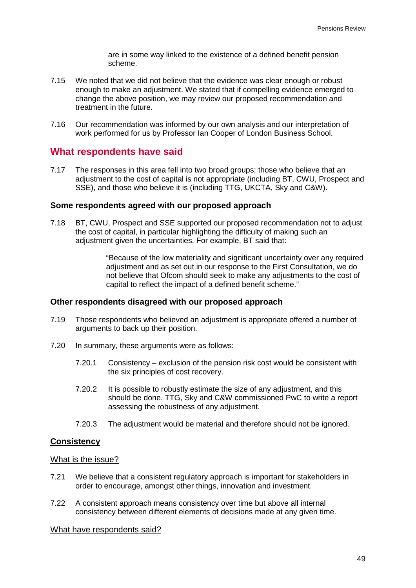are in some way linked to the existence of a defined benefit pension scheme.

- 7.15 We noted that we did not believe that the evidence was clear enough or robust enough to make an adjustment. We stated that if compelling evidence emerged to change the above position, we may review our proposed recommendation and treatment in the future.
- 7.16 Our recommendation was informed by our own analysis and our interpretation of work performed for us by Professor Ian Cooper of London Business School.

## **What respondents have said**

7.17 The responses in this area fell into two broad groups; those who believe that an adjustment to the cost of capital is not appropriate (including BT, CWU, Prospect and SSE), and those who believe it is (including TTG, UKCTA, Sky and C&W).

#### **Some respondents agreed with our proposed approach**

7.18 BT, CWU, Prospect and SSE supported our proposed recommendation not to adjust the cost of capital, in particular highlighting the difficulty of making such an adjustment given the uncertainties. For example, BT said that:

> "Because of the low materiality and significant uncertainty over any required adjustment and as set out in our response to the First Consultation, we do not believe that Ofcom should seek to make any adjustments to the cost of capital to reflect the impact of a defined benefit scheme."

#### **Other respondents disagreed with our proposed approach**

- 7.19 Those respondents who believed an adjustment is appropriate offered a number of arguments to back up their position.
- 7.20 In summary, these arguments were as follows:
	- 7.20.1 Consistency exclusion of the pension risk cost would be consistent with the six principles of cost recovery.
	- 7.20.2 It is possible to robustly estimate the size of any adjustment, and this should be done. TTG, Sky and C&W commissioned PwC to write a report assessing the robustness of any adjustment.
	- 7.20.3 The adjustment would be material and therefore should not be ignored.

#### **Consistency**

#### What is the issue?

- 7.21 We believe that a consistent regulatory approach is important for stakeholders in order to encourage, amongst other things, innovation and investment.
- 7.22 A consistent approach means consistency over time but above all internal consistency between different elements of decisions made at any given time.

#### What have respondents said?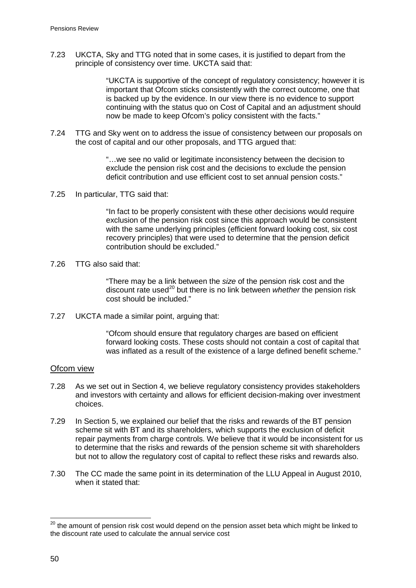7.23 UKCTA, Sky and TTG noted that in some cases, it is justified to depart from the principle of consistency over time. UKCTA said that:

> "UKCTA is supportive of the concept of regulatory consistency; however it is important that Ofcom sticks consistently with the correct outcome, one that is backed up by the evidence. In our view there is no evidence to support continuing with the status quo on Cost of Capital and an adjustment should now be made to keep Ofcom's policy consistent with the facts."

7.24 TTG and Sky went on to address the issue of consistency between our proposals on the cost of capital and our other proposals, and TTG argued that:

> "…we see no valid or legitimate inconsistency between the decision to exclude the pension risk cost and the decisions to exclude the pension deficit contribution and use efficient cost to set annual pension costs."

7.25 In particular, TTG said that:

"In fact to be properly consistent with these other decisions would require exclusion of the pension risk cost since this approach would be consistent with the same underlying principles (efficient forward looking cost, six cost recovery principles) that were used to determine that the pension deficit contribution should be excluded."

7.26 TTG also said that:

"There may be a link between the *size* of the pension risk cost and the discount rate used<sup>[20](#page-52-0)</sup> but there is no link between *whether* the pension risk cost should be included."

7.27 UKCTA made a similar point, arguing that:

"Ofcom should ensure that regulatory charges are based on efficient forward looking costs. These costs should not contain a cost of capital that was inflated as a result of the existence of a large defined benefit scheme."

#### Ofcom view

- 7.28 As we set out in Section [4,](#page-17-0) we believe regulatory consistency provides stakeholders and investors with certainty and allows for efficient decision-making over investment choices.
- <span id="page-52-1"></span>7.29 In Section [5,](#page-25-0) we explained our belief that the risks and rewards of the BT pension scheme sit with BT and its shareholders, which supports the exclusion of deficit repair payments from charge controls. We believe that it would be inconsistent for us to determine that the risks and rewards of the pension scheme sit with shareholders but not to allow the regulatory cost of capital to reflect these risks and rewards also.
- 7.30 The CC made the same point in its determination of the LLU Appeal in August 2010, when it stated that:

<span id="page-52-0"></span> $20$  the amount of pension risk cost would depend on the pension asset beta which might be linked to the discount rate used to calculate the annual service cost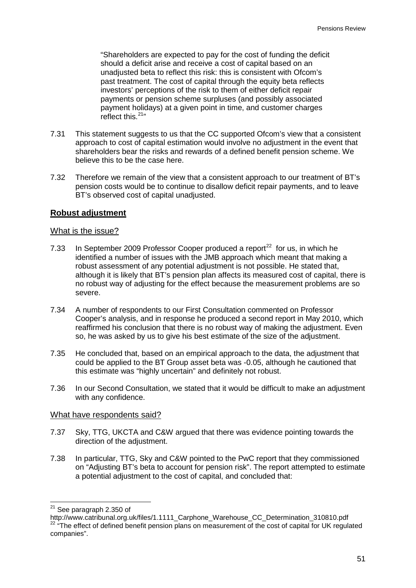"Shareholders are expected to pay for the cost of funding the deficit should a deficit arise and receive a cost of capital based on an unadjusted beta to reflect this risk: this is consistent with Ofcom's past treatment. The cost of capital through the equity beta reflects investors' perceptions of the risk to them of either deficit repair payments or pension scheme surpluses (and possibly associated payment holidays) at a given point in time, and customer charges reflect this.<sup>[21](#page-53-0)</sup>"

- 7.31 This statement suggests to us that the CC supported Ofcom's view that a consistent approach to cost of capital estimation would involve no adjustment in the event that shareholders bear the risks and rewards of a defined benefit pension scheme. We believe this to be the case here.
- 7.32 Therefore we remain of the view that a consistent approach to our treatment of BT's pension costs would be to continue to disallow deficit repair payments, and to leave BT's observed cost of capital unadjusted.

## **Robust adjustment**

#### What is the issue?

- 7.33 In September 2009 Professor Cooper produced a report<sup>[22](#page-53-1)</sup> for us, in which he identified a number of issues with the JMB approach which meant that making a robust assessment of any potential adjustment is not possible. He stated that, although it is likely that BT's pension plan affects its measured cost of capital, there is no robust way of adjusting for the effect because the measurement problems are so severe.
- 7.34 A number of respondents to our First Consultation commented on Professor Cooper's analysis, and in response he produced a second report in May 2010, which reaffirmed his conclusion that there is no robust way of making the adjustment. Even so, he was asked by us to give his best estimate of the size of the adjustment.
- 7.35 He concluded that, based on an empirical approach to the data, the adjustment that could be applied to the BT Group asset beta was -0.05, although he cautioned that this estimate was "highly uncertain" and definitely not robust.
- 7.36 In our Second Consultation, we stated that it would be difficult to make an adjustment with any confidence.

#### What have respondents said?

- 7.37 Sky, TTG, UKCTA and C&W argued that there was evidence pointing towards the direction of the adjustment.
- 7.38 In particular, TTG, Sky and C&W pointed to the PwC report that they commissioned on "Adjusting BT's beta to account for pension risk". The report attempted to estimate a potential adjustment to the cost of capital, and concluded that:

<span id="page-53-0"></span><sup>&</sup>lt;sup>21</sup> See paragraph 2.350 of

<span id="page-53-1"></span>http://www.catribunal.org.uk/files/1.1111\_Carphone\_Warehouse\_CC\_Determination\_310810.pdf <sup>22</sup> "The effect of defined benefit pension plans on measurement of the cost of capital for UK regulated companies".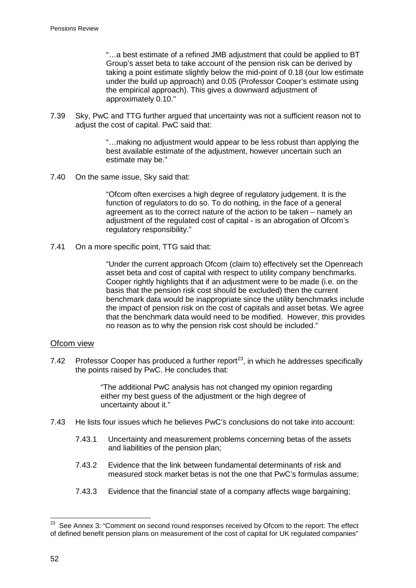"…a best estimate of a refined JMB adjustment that could be applied to BT Group's asset beta to take account of the pension risk can be derived by taking a point estimate slightly below the mid-point of 0.18 (our low estimate under the build up approach) and 0.05 (Professor Cooper's estimate using the empirical approach). This gives a downward adjustment of approximately 0.10."

7.39 Sky, PwC and TTG further argued that uncertainty was not a sufficient reason not to adjust the cost of capital. PwC said that:

> "…making no adjustment would appear to be less robust than applying the best available estimate of the adjustment, however uncertain such an estimate may be."

7.40 On the same issue, Sky said that:

"Ofcom often exercises a high degree of regulatory judgement. It is the function of regulators to do so. To do nothing, in the face of a general agreement as to the correct nature of the action to be taken – namely an adjustment of the regulated cost of capital - is an abrogation of Ofcom's regulatory responsibility."

7.41 On a more specific point, TTG said that:

"Under the current approach Ofcom (claim to) effectively set the Openreach asset beta and cost of capital with respect to utility company benchmarks. Cooper rightly highlights that if an adjustment were to be made (i.e. on the basis that the pension risk cost should be excluded) then the current benchmark data would be inappropriate since the utility benchmarks include the impact of pension risk on the cost of capitals and asset betas. We agree that the benchmark data would need to be modified. However, this provides no reason as to why the pension risk cost should be included."

### Ofcom view

7.42 Professor Cooper has produced a further report<sup>[23](#page-54-0)</sup>, in which he addresses specifically the points raised by PwC. He concludes that:

> "The additional PwC analysis has not changed my opinion regarding either my best guess of the adjustment or the high degree of uncertainty about it."

- 7.43 He lists four issues which he believes PwC's conclusions do not take into account:
	- 7.43.1 Uncertainty and measurement problems concerning betas of the assets and liabilities of the pension plan;
	- 7.43.2 Evidence that the link between fundamental determinants of risk and measured stock market betas is not the one that PwC's formulas assume;
	- 7.43.3 Evidence that the financial state of a company affects wage bargaining;

<span id="page-54-0"></span><sup>&</sup>lt;sup>23</sup> See Annex 3: "Comment on second round responses received by Ofcom to the report: The effect of defined benefit pension plans on measurement of the cost of capital for UK regulated companies"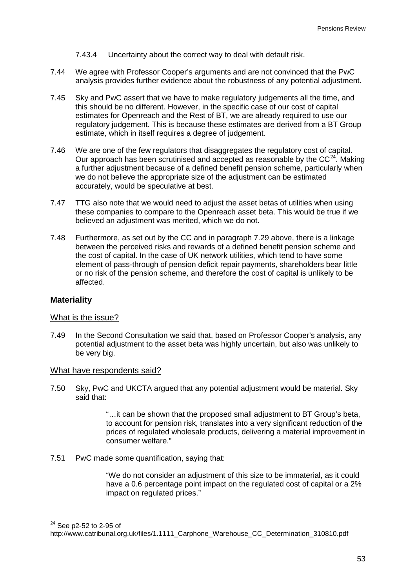7.43.4 Uncertainty about the correct way to deal with default risk.

- 7.44 We agree with Professor Cooper's arguments and are not convinced that the PwC analysis provides further evidence about the robustness of any potential adjustment.
- 7.45 Sky and PwC assert that we have to make regulatory judgements all the time, and this should be no different. However, in the specific case of our cost of capital estimates for Openreach and the Rest of BT, we are already required to use our regulatory judgement. This is because these estimates are derived from a BT Group estimate, which in itself requires a degree of judgement.
- 7.46 We are one of the few regulators that disaggregates the regulatory cost of capital. Our approach has been scrutinised and accepted as reasonable by the  $CC<sup>24</sup>$  $CC<sup>24</sup>$  $CC<sup>24</sup>$ . Making a further adjustment because of a defined benefit pension scheme, particularly when we do not believe the appropriate size of the adjustment can be estimated accurately, would be speculative at best.
- 7.47 TTG also note that we would need to adjust the asset betas of utilities when using these companies to compare to the Openreach asset beta. This would be true if we believed an adjustment was merited, which we do not.
- 7.48 Furthermore, as set out by the CC and in paragraph [7.29](#page-52-1) above, there is a linkage between the perceived risks and rewards of a defined benefit pension scheme and the cost of capital. In the case of UK network utilities, which tend to have some element of pass-through of pension deficit repair payments, shareholders bear little or no risk of the pension scheme, and therefore the cost of capital is unlikely to be affected.

#### **Materiality**

#### What is the issue?

7.49 In the Second Consultation we said that, based on Professor Cooper's analysis, any potential adjustment to the asset beta was highly uncertain, but also was unlikely to be very big.

#### What have respondents said?

7.50 Sky, PwC and UKCTA argued that any potential adjustment would be material. Sky said that:

> "…it can be shown that the proposed small adjustment to BT Group's beta, to account for pension risk, translates into a very significant reduction of the prices of regulated wholesale products, delivering a material improvement in consumer welfare."

7.51 PwC made some quantification, saying that:

"We do not consider an adjustment of this size to be immaterial, as it could have a 0.6 percentage point impact on the regulated cost of capital or a 2% impact on regulated prices."

<span id="page-55-0"></span> <sup>24</sup> See p2-52 to 2-95 of

http://www.catribunal.org.uk/files/1.1111\_Carphone\_Warehouse\_CC\_Determination\_310810.pdf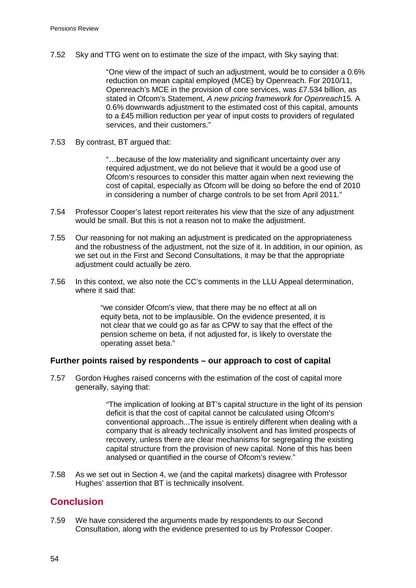7.52 Sky and TTG went on to estimate the size of the impact, with Sky saying that:

"One view of the impact of such an adjustment, would be to consider a 0.6% reduction on mean capital employed (MCE) by Openreach. For 2010/11, Openreach's MCE in the provision of core services, was £7.534 billion, as stated in Ofcom's Statement, *A new pricing framework for Openreach*15*.* A 0.6% downwards adjustment to the estimated cost of this capital, amounts to a £45 million reduction per year of input costs to providers of regulated services, and their customers."

7.53 By contrast, BT argued that:

"…because of the low materiality and significant uncertainty over any required adjustment, we do not believe that it would be a good use of Ofcom's resources to consider this matter again when next reviewing the cost of capital, especially as Ofcom will be doing so before the end of 2010 in considering a number of charge controls to be set from April 2011."

- 7.54 Professor Cooper's latest report reiterates his view that the size of any adjustment would be small. But this is not a reason not to make the adjustment.
- 7.55 Our reasoning for not making an adjustment is predicated on the appropriateness and the robustness of the adjustment, not the size of it. In addition, in our opinion, as we set out in the First and Second Consultations, it may be that the appropriate adjustment could actually be zero.
- 7.56 In this context, we also note the CC's comments in the LLU Appeal determination, where it said that:

"we consider Ofcom's view, that there may be no effect at all on equity beta, not to be implausible. On the evidence presented, it is not clear that we could go as far as CPW to say that the effect of the pension scheme on beta, if not adjusted for, is likely to overstate the operating asset beta."

#### **Further points raised by respondents – our approach to cost of capital**

7.57 Gordon Hughes raised concerns with the estimation of the cost of capital more generally, saying that:

> "The implication of looking at BT's capital structure in the light of its pension deficit is that the cost of capital cannot be calculated using Ofcom's conventional approach...The issue is entirely different when dealing with a company that is already technically insolvent and has limited prospects of recovery, unless there are clear mechanisms for segregating the existing capital structure from the provision of new capital. None of this has been analysed or quantified in the course of Ofcom's review."

7.58 As we set out in Section 4, we (and the capital markets) disagree with Professor Hughes' assertion that BT is technically insolvent.

## **Conclusion**

7.59 We have considered the arguments made by respondents to our Second Consultation, along with the evidence presented to us by Professor Cooper.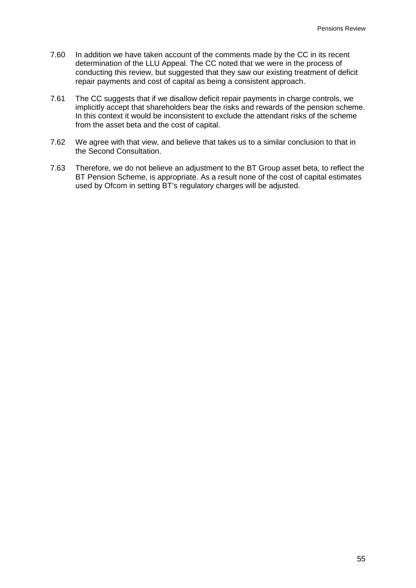- 7.60 In addition we have taken account of the comments made by the CC in its recent determination of the LLU Appeal. The CC noted that we were in the process of conducting this review, but suggested that they saw our existing treatment of deficit repair payments and cost of capital as being a consistent approach.
- 7.61 The CC suggests that if we disallow deficit repair payments in charge controls, we implicitly accept that shareholders bear the risks and rewards of the pension scheme. In this context it would be inconsistent to exclude the attendant risks of the scheme from the asset beta and the cost of capital.
- 7.62 We agree with that view, and believe that takes us to a similar conclusion to that in the Second Consultation.
- 7.63 Therefore, we do not believe an adjustment to the BT Group asset beta, to reflect the BT Pension Scheme, is appropriate. As a result none of the cost of capital estimates used by Ofcom in setting BT's regulatory charges will be adjusted.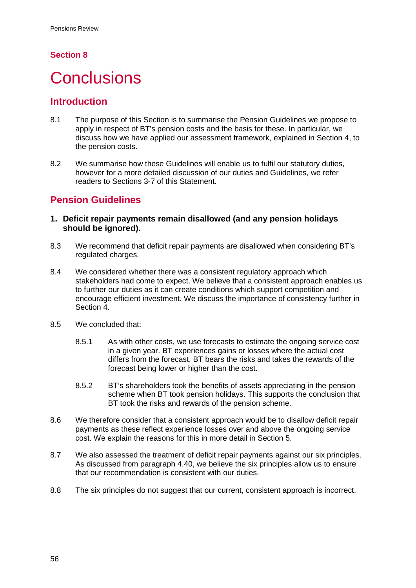## **Section 8**

# <span id="page-58-0"></span>**Conclusions**

## **Introduction**

- 8.1 The purpose of this Section is to summarise the Pension Guidelines we propose to apply in respect of BT's pension costs and the basis for these. In particular, we discuss how we have applied our assessment framework, explained in Section [4,](#page-17-0) to the pension costs.
- 8.2 We summarise how these Guidelines will enable us to fulfil our statutory duties, however for a more detailed discussion of our duties and Guidelines, we refer readers to Sections [3](#page-8-0)[-7](#page-49-0) of this Statement.

# **Pension Guidelines**

- **1. Deficit repair payments remain disallowed (and any pension holidays should be ignored).**
- 8.3 We recommend that deficit repair payments are disallowed when considering BT's regulated charges.
- 8.4 We considered whether there was a consistent regulatory approach which stakeholders had come to expect. We believe that a consistent approach enables us to further our duties as it can create conditions which support competition and encourage efficient investment. We discuss the importance of consistency further in Section [4.](#page-17-0)
- 8.5 We concluded that:
	- 8.5.1 As with other costs, we use forecasts to estimate the ongoing service cost in a given year. BT experiences gains or losses where the actual cost differs from the forecast. BT bears the risks and takes the rewards of the forecast being lower or higher than the cost.
	- 8.5.2 BT's shareholders took the benefits of assets appreciating in the pension scheme when BT took pension holidays. This supports the conclusion that BT took the risks and rewards of the pension scheme.
- 8.6 We therefore consider that a consistent approach would be to disallow deficit repair payments as these reflect experience losses over and above the ongoing service cost. We explain the reasons for this in more detail in Section [5.](#page-25-0)
- 8.7 We also assessed the treatment of deficit repair payments against our six principles. As discussed from paragraph [4.40,](#page-22-0) we believe the six principles allow us to ensure that our recommendation is consistent with our duties.
- 8.8 The six principles do not suggest that our current, consistent approach is incorrect.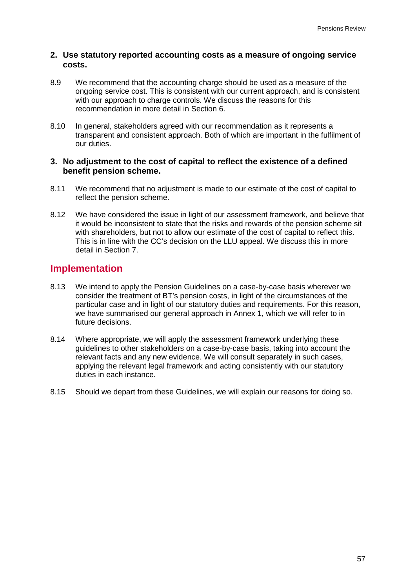### **2. Use statutory reported accounting costs as a measure of ongoing service costs.**

- 8.9 We recommend that the accounting charge should be used as a measure of the ongoing service cost. This is consistent with our current approach, and is consistent with our approach to charge controls. We discuss the reasons for this recommendation in more detail in Section [6.](#page-46-0)
- 8.10 In general, stakeholders agreed with our recommendation as it represents a transparent and consistent approach. Both of which are important in the fulfilment of our duties.

### **3. No adjustment to the cost of capital to reflect the existence of a defined benefit pension scheme.**

- 8.11 We recommend that no adjustment is made to our estimate of the cost of capital to reflect the pension scheme.
- 8.12 We have considered the issue in light of our assessment framework, and believe that it would be inconsistent to state that the risks and rewards of the pension scheme sit with shareholders, but not to allow our estimate of the cost of capital to reflect this. This is in line with the CC's decision on the LLU appeal. We discuss this in more detail in Section [7.](#page-49-0)

## **Implementation**

- 8.13 We intend to apply the Pension Guidelines on a case-by-case basis wherever we consider the treatment of BT's pension costs, in light of the circumstances of the particular case and in light of our statutory duties and requirements. For this reason, we have summarised our general approach in Annex 1, which we will refer to in future decisions.
- 8.14 Where appropriate, we will apply the assessment framework underlying these guidelines to other stakeholders on a case-by-case basis, taking into account the relevant facts and any new evidence. We will consult separately in such cases, applying the relevant legal framework and acting consistently with our statutory duties in each instance.
- 8.15 Should we depart from these Guidelines, we will explain our reasons for doing so.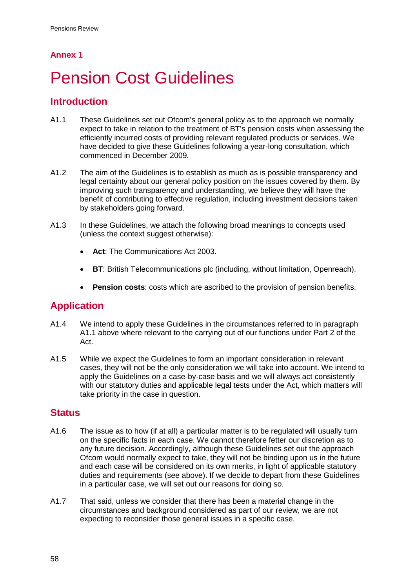## <span id="page-60-1"></span>**Annex 1**

# <span id="page-60-0"></span>**Pension Cost Guidelines**

## **Introduction**

- <span id="page-60-2"></span>A1.1 These Guidelines set out Ofcom's general policy as to the approach we normally expect to take in relation to the treatment of BT's pension costs when assessing the efficiently incurred costs of providing relevant regulated products or services. We have decided to give these Guidelines following a year-long consultation, which commenced in December 2009.
- A1.2 The aim of the Guidelines is to establish as much as is possible transparency and legal certainty about our general policy position on the issues covered by them. By improving such transparency and understanding, we believe they will have the benefit of contributing to effective regulation, including investment decisions taken by stakeholders going forward.
- A1.3 In these Guidelines, we attach the following broad meanings to concepts used (unless the context suggest otherwise):
	- **Act**: The Communications Act 2003.
	- **BT**: British Telecommunications plc (including, without limitation, Openreach).
	- **Pension costs**: costs which are ascribed to the provision of pension benefits.

## **Application**

- A1.4 We intend to apply these Guidelines in the circumstances referred to in paragraph [A1.1](#page-60-2) above where relevant to the carrying out of our functions under Part 2 of the Act.
- A1.5 While we expect the Guidelines to form an important consideration in relevant cases, they will not be the only consideration we will take into account. We intend to apply the Guidelines on a case-by-case basis and we will always act consistently with our statutory duties and applicable legal tests under the Act, which matters will take priority in the case in question.

## **Status**

- A1.6 The issue as to how (if at all) a particular matter is to be regulated will usually turn on the specific facts in each case. We cannot therefore fetter our discretion as to any future decision. Accordingly, although these Guidelines set out the approach Ofcom would normally expect to take, they will not be binding upon us in the future and each case will be considered on its own merits, in light of applicable statutory duties and requirements (see above). If we decide to depart from these Guidelines in a particular case, we will set out our reasons for doing so.
- A1.7 That said, unless we consider that there has been a material change in the circumstances and background considered as part of our review, we are not expecting to reconsider those general issues in a specific case.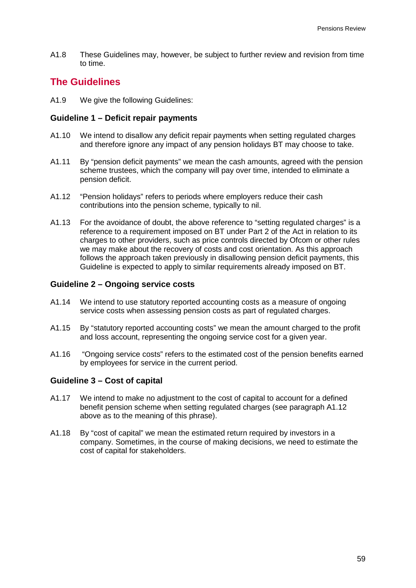A1.8 These Guidelines may, however, be subject to further review and revision from time to time.

## **The Guidelines**

A1.9 We give the following Guidelines:

### **Guideline 1 – Deficit repair payments**

- A1.10 We intend to disallow any deficit repair payments when setting regulated charges and therefore ignore any impact of any pension holidays BT may choose to take.
- A1.11 By "pension deficit payments" we mean the cash amounts, agreed with the pension scheme trustees, which the company will pay over time, intended to eliminate a pension deficit.
- <span id="page-61-0"></span>A1.12 "Pension holidays" refers to periods where employers reduce their cash contributions into the pension scheme, typically to nil.
- A1.13 For the avoidance of doubt, the above reference to "setting regulated charges" is a reference to a requirement imposed on BT under Part 2 of the Act in relation to its charges to other providers, such as price controls directed by Ofcom or other rules we may make about the recovery of costs and cost orientation. As this approach follows the approach taken previously in disallowing pension deficit payments, this Guideline is expected to apply to similar requirements already imposed on BT.

## **Guideline 2 – Ongoing service costs**

- A1.14 We intend to use statutory reported accounting costs as a measure of ongoing service costs when assessing pension costs as part of regulated charges.
- A1.15 By "statutory reported accounting costs" we mean the amount charged to the profit and loss account, representing the ongoing service cost for a given year.
- A1.16 "Ongoing service costs" refers to the estimated cost of the pension benefits earned by employees for service in the current period.

## **Guideline 3 – Cost of capital**

- A1.17 We intend to make no adjustment to the cost of capital to account for a defined benefit pension scheme when setting regulated charges (see paragraph [A1.12](#page-61-0) above as to the meaning of this phrase).
- A1.18 By "cost of capital" we mean the estimated return required by investors in a company. Sometimes, in the course of making decisions, we need to estimate the cost of capital for stakeholders.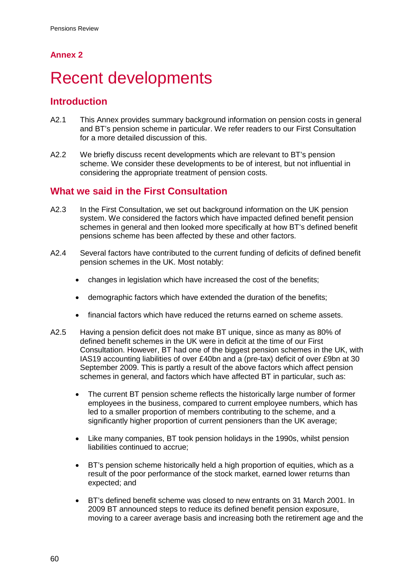## **Annex 2**

# <span id="page-62-0"></span>**Recent developments**

## **Introduction**

- A2.1 This Annex provides summary background information on pension costs in general and BT's pension scheme in particular. We refer readers to our First Consultation for a more detailed discussion of this.
- A2.2 We briefly discuss recent developments which are relevant to BT's pension scheme. We consider these developments to be of interest, but not influential in considering the appropriate treatment of pension costs.

# **What we said in the First Consultation**

- A2.3 In the First Consultation, we set out background information on the UK pension system. We considered the factors which have impacted defined benefit pension schemes in general and then looked more specifically at how BT's defined benefit pensions scheme has been affected by these and other factors.
- A2.4 Several factors have contributed to the current funding of deficits of defined benefit pension schemes in the UK. Most notably:
	- changes in legislation which have increased the cost of the benefits;
	- demographic factors which have extended the duration of the benefits;
	- financial factors which have reduced the returns earned on scheme assets.
- A2.5 Having a pension deficit does not make BT unique, since as many as 80% of defined benefit schemes in the UK were in deficit at the time of our First Consultation. However, BT had one of the biggest pension schemes in the UK, with IAS19 accounting liabilities of over £40bn and a (pre-tax) deficit of over £9bn at 30 September 2009. This is partly a result of the above factors which affect pension schemes in general, and factors which have affected BT in particular, such as:
	- The current BT pension scheme reflects the historically large number of former employees in the business, compared to current employee numbers, which has led to a smaller proportion of members contributing to the scheme, and a significantly higher proportion of current pensioners than the UK average;
	- Like many companies, BT took pension holidays in the 1990s, whilst pension liabilities continued to accrue;
	- BT's pension scheme historically held a high proportion of equities, which as a result of the poor performance of the stock market, earned lower returns than expected; and
	- BT's defined benefit scheme was closed to new entrants on 31 March 2001. In 2009 BT announced steps to reduce its defined benefit pension exposure, moving to a career average basis and increasing both the retirement age and the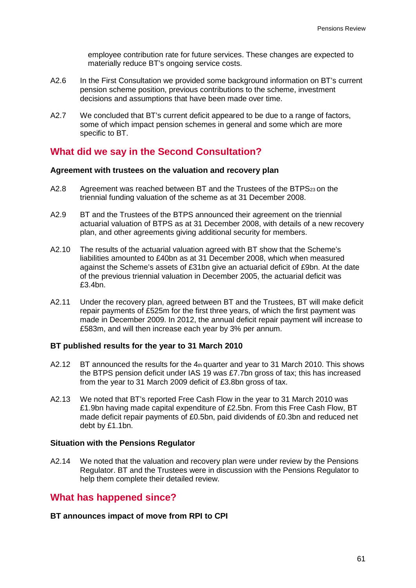employee contribution rate for future services. These changes are expected to materially reduce BT's ongoing service costs.

- A2.6 In the First Consultation we provided some background information on BT's current pension scheme position, previous contributions to the scheme, investment decisions and assumptions that have been made over time.
- A2.7 We concluded that BT's current deficit appeared to be due to a range of factors, some of which impact pension schemes in general and some which are more specific to BT.

## **What did we say in the Second Consultation?**

#### **Agreement with trustees on the valuation and recovery plan**

- A2.8 Agreement was reached between BT and the Trustees of the BTPS<sub>23</sub> on the triennial funding valuation of the scheme as at 31 December 2008.
- A2.9 BT and the Trustees of the BTPS announced their agreement on the triennial actuarial valuation of BTPS as at 31 December 2008, with details of a new recovery plan, and other agreements giving additional security for members.
- A2.10 The results of the actuarial valuation agreed with BT show that the Scheme's liabilities amounted to £40bn as at 31 December 2008, which when measured against the Scheme's assets of £31bn give an actuarial deficit of £9bn. At the date of the previous triennial valuation in December 2005, the actuarial deficit was £3.4bn.
- A2.11 Under the recovery plan, agreed between BT and the Trustees, BT will make deficit repair payments of £525m for the first three years, of which the first payment was made in December 2009. In 2012, the annual deficit repair payment will increase to £583m, and will then increase each year by 3% per annum.

#### **BT published results for the year to 31 March 2010**

- A2.12 BT announced the results for the  $4<sub>th</sub>$  quarter and year to 31 March 2010. This shows the BTPS pension deficit under IAS 19 was £7.7bn gross of tax; this has increased from the year to 31 March 2009 deficit of £3.8bn gross of tax.
- A2.13 We noted that BT's reported Free Cash Flow in the year to 31 March 2010 was £1.9bn having made capital expenditure of £2.5bn. From this Free Cash Flow, BT made deficit repair payments of £0.5bn, paid dividends of £0.3bn and reduced net debt by £1.1bn.

#### **Situation with the Pensions Regulator**

A2.14 We noted that the valuation and recovery plan were under review by the Pensions Regulator. BT and the Trustees were in discussion with the Pensions Regulator to help them complete their detailed review.

## **What has happened since?**

### **BT announces impact of move from RPI to CPI**